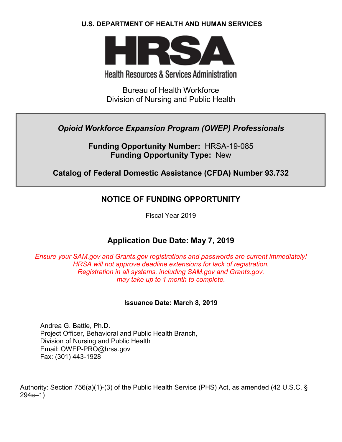## **U.S. DEPARTMENT OF HEALTH AND HUMAN SERVICES**



# **Health Resources & Services Administration**

Bureau of Health Workforce Division of Nursing and Public Health

# *Opioid Workforce Expansion Program (OWEP) Professionals*

**Funding Opportunity Number:** HRSA-19-085 **Funding Opportunity Type:** New

# **Catalog of Federal Domestic Assistance (CFDA) Number 93.732**

# **NOTICE OF FUNDING OPPORTUNITY**

Fiscal Year 2019

# **Application Due Date: May 7, 2019**

*Ensure your SAM.gov and Grants.gov registrations and passwords are current immediately! HRSA will not approve deadline extensions for lack of registration. Registration in all systems, including SAM.gov and Grants.gov, may take up to 1 month to complete.*

## **Issuance Date: March 8, 2019**

Andrea G. Battle, Ph.D. Project Officer, Behavioral and Public Health Branch, Division of Nursing and Public Health Email: OWEP-PRO@hrsa.gov Fax: (301) 443-1928

Authority: Section 756(a)(1)-(3) of the Public Health Service (PHS) Act, as amended (42 U.S.C. § 294e–1)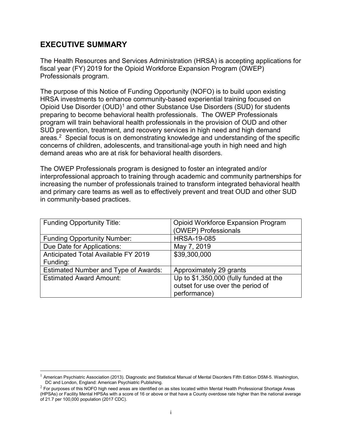# **EXECUTIVE SUMMARY**

The Health Resources and Services Administration (HRSA) is accepting applications for fiscal year (FY) 2019 for the Opioid Workforce Expansion Program (OWEP) Professionals program.

The purpose of this Notice of Funding Opportunity (NOFO) is to build upon existing HRSA investments to enhance community-based experiential training focused on Opioid Use Disorder (OUD)<sup>[1](#page-1-0)</sup> and other Substance Use Disorders (SUD) for students preparing to become behavioral health professionals. The OWEP Professionals program will train behavioral health professionals in the provision of OUD and other SUD prevention, treatment, and recovery services in high need and high demand areas. [2](#page-1-1) Special focus is on demonstrating knowledge and understanding of the specific concerns of children, adolescents, and transitional-age youth in high need and high demand areas who are at risk for behavioral health disorders.

The OWEP Professionals program is designed to foster an integrated and/or interprofessional approach to training through academic and community partnerships for increasing the number of professionals trained to transform integrated behavioral health and primary care teams as well as to effectively prevent and treat OUD and other SUD in community-based practices.

| <b>Funding Opportunity Title:</b>           | <b>Opioid Workforce Expansion Program</b> |
|---------------------------------------------|-------------------------------------------|
|                                             | (OWEP) Professionals                      |
| <b>Funding Opportunity Number:</b>          | <b>HRSA-19-085</b>                        |
| Due Date for Applications:                  | May 7, 2019                               |
| Anticipated Total Available FY 2019         | \$39,300,000                              |
| Funding:                                    |                                           |
| <b>Estimated Number and Type of Awards:</b> | Approximately 29 grants                   |
| <b>Estimated Award Amount:</b>              | Up to \$1,350,000 (fully funded at the    |
|                                             | outset for use over the period of         |
|                                             | performance)                              |

<span id="page-1-0"></span> <sup>1</sup> American Psychiatric Association (2013). Diagnostic and Statistical Manual of Mental Disorders Fifth Edition DSM-5. Washington, DC and London, England: American Psychiatric Publishing.

<span id="page-1-1"></span> $2$  For purposes of this NOFO high need areas are identified on as sites located within Mental Health Professional Shortage Areas (HPSAs) or Facility Mental HPSAs with a score of 16 or above or that have a County overdose rate higher than the national average of 21.7 per 100,000 population (2017 CDC).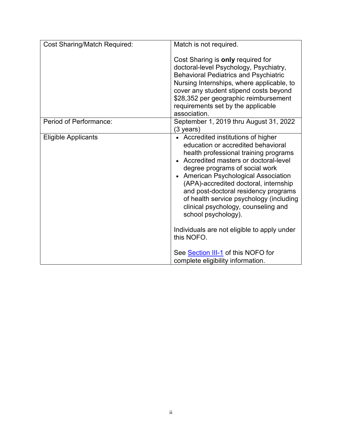| <b>Cost Sharing/Match Required:</b> | Match is not required.                                                                                                                                                                                                                                                                                                                                                                                                                                                                                                              |
|-------------------------------------|-------------------------------------------------------------------------------------------------------------------------------------------------------------------------------------------------------------------------------------------------------------------------------------------------------------------------------------------------------------------------------------------------------------------------------------------------------------------------------------------------------------------------------------|
|                                     | Cost Sharing is only required for<br>doctoral-level Psychology, Psychiatry,<br><b>Behavioral Pediatrics and Psychiatric</b><br>Nursing Internships, where applicable, to<br>cover any student stipend costs beyond<br>\$28,352 per geographic reimbursement<br>requirements set by the applicable<br>association.                                                                                                                                                                                                                   |
| Period of Performance:              | September 1, 2019 thru August 31, 2022<br>(3 years)                                                                                                                                                                                                                                                                                                                                                                                                                                                                                 |
| <b>Eligible Applicants</b>          | • Accredited institutions of higher<br>education or accredited behavioral<br>health professional training programs<br>• Accredited masters or doctoral-level<br>degree programs of social work<br>• American Psychological Association<br>(APA)-accredited doctoral, internship<br>and post-doctoral residency programs<br>of health service psychology (including<br>clinical psychology, counseling and<br>school psychology).<br>Individuals are not eligible to apply under<br>this NOFO.<br>See Section III-1 of this NOFO for |
|                                     | complete eligibility information.                                                                                                                                                                                                                                                                                                                                                                                                                                                                                                   |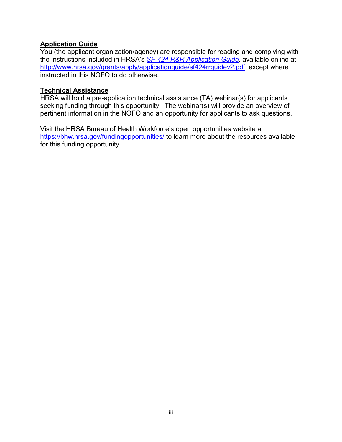# **Application Guide**

You (the applicant organization/agency) are responsible for reading and complying with the instructions included in HRSA's *SF-424 [R&R Application Guide,](http://www.hrsa.gov/grants/apply/applicationguide/sf424rrguidev2.pdf)* available online at [http://www.hrsa.gov/grants/apply/applicationguide/sf424rrguidev2.pdf,](http://www.hrsa.gov/grants/apply/applicationguide/sf424rrguidev2.pdf) except where instructed in this NOFO to do otherwise.

#### **Technical Assistance**

HRSA will hold a pre-application technical assistance (TA) webinar(s) for applicants seeking funding through this opportunity. The webinar(s) will provide an overview of pertinent information in the NOFO and an opportunity for applicants to ask questions.

Visit the HRSA Bureau of Health Workforce's open opportunities website at <https://bhw.hrsa.gov/fundingopportunities/> to learn more about the resources available for this funding opportunity.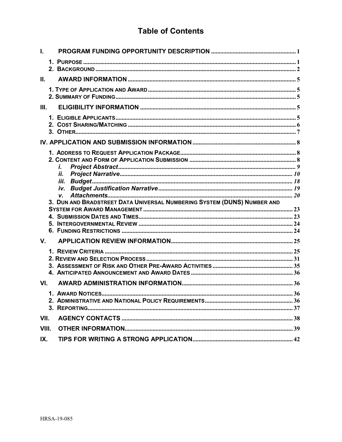# **Table of Contents**

| L.    |                                                                               |  |
|-------|-------------------------------------------------------------------------------|--|
|       |                                                                               |  |
| II.   |                                                                               |  |
|       |                                                                               |  |
| III.  |                                                                               |  |
|       |                                                                               |  |
|       |                                                                               |  |
|       | İ.<br>11.                                                                     |  |
|       |                                                                               |  |
|       |                                                                               |  |
|       | V.<br>3. DUN AND BRADSTREET DATA UNIVERSAL NUMBERING SYSTEM (DUNS) NUMBER AND |  |
|       |                                                                               |  |
|       |                                                                               |  |
|       |                                                                               |  |
| V.    |                                                                               |  |
|       |                                                                               |  |
|       |                                                                               |  |
|       |                                                                               |  |
| VI.   |                                                                               |  |
|       |                                                                               |  |
|       |                                                                               |  |
|       |                                                                               |  |
| VII.  |                                                                               |  |
| VIII. |                                                                               |  |
| IX.   |                                                                               |  |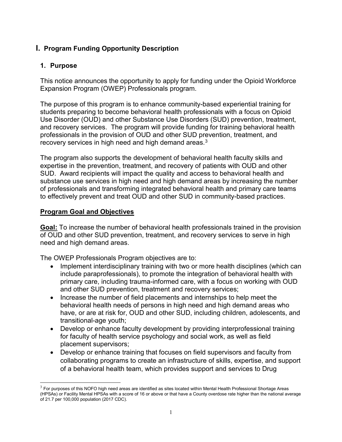# <span id="page-5-0"></span>**I. Program Funding Opportunity Description**

## <span id="page-5-1"></span>**1. Purpose**

This notice announces the opportunity to apply for funding under the Opioid Workforce Expansion Program (OWEP) Professionals program.

The purpose of this program is to enhance community-based experiential training for students preparing to become behavioral health professionals with a focus on Opioid Use Disorder (OUD) and other Substance Use Disorders (SUD) prevention, treatment, and recovery services. The program will provide funding for training behavioral health professionals in the provision of OUD and other SUD prevention, treatment, and recovery services in high need and high demand areas. $^3$  $^3$ 

The program also supports the development of behavioral health faculty skills and expertise in the prevention, treatment, and recovery of patients with OUD and other SUD. Award recipients will impact the quality and access to behavioral health and substance use services in high need and high demand areas by increasing the number of professionals and transforming integrated behavioral health and primary care teams to effectively prevent and treat OUD and other SUD in community-based practices.

## **Program Goal and Objectives**

**Goal:** To increase the number of behavioral health professionals trained in the provision of OUD and other SUD prevention, treatment, and recovery services to serve in high need and high demand areas.

The OWEP Professionals Program objectives are to:

- Implement interdisciplinary training with two or more health disciplines (which can include paraprofessionals), to promote the integration of behavioral health with primary care, including trauma-informed care, with a focus on working with OUD and other SUD prevention, treatment and recovery services;
- Increase the number of field placements and internships to help meet the behavioral health needs of persons in high need and high demand areas who have, or are at risk for, OUD and other SUD, including children, adolescents, and transitional-age youth;
- Develop or enhance faculty development by providing interprofessional training for faculty of health service psychology and social work, as well as field placement supervisors;
- Develop or enhance training that focuses on field supervisors and faculty from collaborating programs to create an infrastructure of skills, expertise, and support of a behavioral health team, which provides support and services to Drug

<span id="page-5-2"></span> $3$  For purposes of this NOFO high need areas are identified as sites located within Mental Health Professional Shortage Areas (HPSAs) or Facility Mental HPSAs with a score of 16 or above or that have a County overdose rate higher than the national average of 21.7 per 100,000 population (2017 CDC).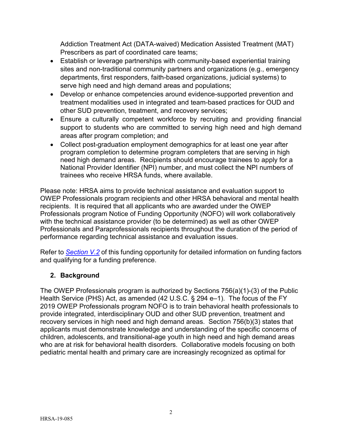Addiction Treatment Act (DATA-waived) Medication Assisted Treatment (MAT) Prescribers as part of coordinated care teams;

- Establish or leverage partnerships with community-based experiential training sites and non-traditional community partners and organizations (e.g., emergency departments, first responders, faith-based organizations, judicial systems) to serve high need and high demand areas and populations;
- Develop or enhance competencies around evidence-supported prevention and treatment modalities used in integrated and team-based practices for OUD and other SUD prevention, treatment, and recovery services;
- Ensure a culturally competent workforce by recruiting and providing financial support to students who are committed to serving high need and high demand areas after program completion; and
- Collect post-graduation employment demographics for at least one year after program completion to determine program completers that are serving in high need high demand areas. Recipients should encourage trainees to apply for a National Provider Identifier (NPI) number, and must collect the NPI numbers of trainees who receive HRSA funds, where available.

Please note: HRSA aims to provide technical assistance and evaluation support to OWEP Professionals program recipients and other HRSA behavioral and mental health recipients. It is required that all applicants who are awarded under the OWEP Professionals program Notice of Funding Opportunity (NOFO) will work collaboratively with the technical assistance provider (to be determined) as well as other OWEP Professionals and Paraprofessionals recipients throughout the duration of the period of performance regarding technical assistance and evaluation issues.

Refer to *[Section V.2](#page-35-0)* of this funding opportunity for detailed information on funding factors and qualifying for a funding preference.

# <span id="page-6-0"></span>**2. Background**

The OWEP Professionals program is authorized by Sections 756(a)(1)-(3) of the Public Health Service (PHS) Act, as amended (42 U.S.C. § 294 e–1). The focus of the FY 2019 OWEP Professionals program NOFO is to train behavioral health professionals to provide integrated, interdisciplinary OUD and other SUD prevention, treatment and recovery services in high need and high demand areas. Section 756(b)(3) states that applicants must demonstrate knowledge and understanding of the specific concerns of children, adolescents, and transitional-age youth in high need and high demand areas who are at risk for behavioral health disorders. Collaborative models focusing on both pediatric mental health and primary care are increasingly recognized as optimal for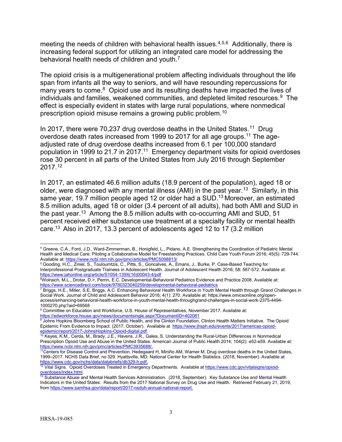meeting the needs of children with behavioral health issues.<sup>[4,](#page-7-2)[5,](#page-7-3)6</sup> Additionally, there is increasing federal support for utilizing an integrated care model for addressing the behavioral health needs of children and youth.<sup>[7](#page-7-5)</sup>

The opioid crisis is a multigenerational problem affecting individuals throughout the life span from infants all the way to seniors, and will have resounding repercussions for many years to come. $8$  Opioid use and its resulting deaths have impacted the lives of individuals and families, weakened communities, and depleted limited resources. [9](#page-7-7) The effect is especially evident in states with large rural populations, where nonmedical prescription opioid misuse remains a growing public problem. $^{\mathsf{10}}$  $^{\mathsf{10}}$  $^{\mathsf{10}}$ 

<span id="page-7-0"></span>In 2017, there were 70,237 drug overdose deaths in the United States.<sup>[11](#page-7-9)</sup> Drug overdose death rates increased from 1999 to 2017 for all age groups.<sup>[11](#page-7-0)</sup> The ageadjusted rate of drug overdose deaths increased from 6.1 per 100,000 standard population in 1999 to 21.7 in 2017. [11](#page-7-0) Emergency department visits for opioid overdoses rose 30 percent in all parts of the United States from July 2016 through September 2017.[12](#page-7-10)

<span id="page-7-1"></span>In 2017, an estimated 46.6 million adults (18.9 percent of the population), aged 18 or older, were diagnosed with any mental illness (AMI) in the past year.<sup>[13](#page-7-11)</sup> Similarly, in this same year, 19.7 million people aged 12 or older had a SUD.<sup>13</sup> Moreover, an estimated 8.5 million adults, aged 18 or older (3.4 percent of all adults), had both AMI and SUD in the past year.<sup>13</sup> Among the 8.5 million adults with co-occurring AMI and SUD, 51 percent received either substance use treatment at a specialty facility or mental health care[.13](#page-7-1) Also in 2017, 13.3 percent of adolescents aged 12 to 17 (3.2 million

<span id="page-7-2"></span> $\overline{a}$ <sup>4</sup> Greene, C.A., Ford, J.D., Ward-Zimmerman, B., Honigfeld, L., Pidano, A.E. Strengthening the Coordination of Pediatric Mental Health and Medical Care: Piloting a Collaborative Model for Freestanding Practices. Child Care Youth Forum 2016; 45(5): 729-744. Available at:<https://www.ncbi.nlm.nih.gov/pmc/articles/PMC5098813/>

<span id="page-7-3"></span><sup>5</sup> Gooding, H.C., Ziniel, S., Touloumtzis, C., Pitts, S., Goncalves, A., Emans, J., Burke, P. Case-Based Teaching for Interprofessional Postgraduate Trainees in Adolescent Health. Journal of Adolescent Health 2016; 58: 567-572. Available at:

<sup>&</sup>lt;u>[https://www.jahonline.org/article/S1054-139X\(16\)00043-4/pdf](https://www.jahonline.org/article/S1054-139X(16)00043-4/pdf)</u><br><sup>6</sup>Wolraich, M.L., Drotar, D.>, Perrin, E.C. Developmental-Behavioral Pediatrics Evidence and Practice 2008. Available at:

<span id="page-7-5"></span><span id="page-7-4"></span>https://www.sciencedirect.com/book/9780323040259/developmental-behavioral-pediatrics<br>7 Briggs, H.E., Miller, S.E, Briggs, A.C. Enhancing Behavioral Health Workforce in Youth Mental Health through Grand Challenges in Social Work. Journal of Child and Adolescent Behavior 2016; 4(1): 270. Available at: https://www.omicsonline.org/openaccess/enhancing-behavioral-health-workforce-in-youth-mental-health-throughgrand-challenges-in-social-work-2375-4494- 1000270.php?aid=69568

<span id="page-7-6"></span><sup>&</sup>lt;sup>8</sup> Committee on Education and Workforce, U.S. House of Representatives, November 2017. Available at: <https://edworkforce.house.gov/news/documentsingle.aspx?DocumentID=402081>

<span id="page-7-7"></span><sup>9</sup> Johns Hopkins Bloomberg School of Public Health, and the Clinton Foundation, Clinton Health Matters Initiative. The Opioid Epidemic From Evidence to Impact. (2017, October). Available at [https://www.jhsph.edu/events/2017/americas-opioid](https://www.jhsph.edu/events/2017/americas-opioid-epidemic/report/2017-JohnsHopkins-Opioid-digital.pdf)[epidemic/report/2017-JohnsHopkins-Opioid-digital.pdf.](https://www.jhsph.edu/events/2017/americas-opioid-epidemic/report/2017-JohnsHopkins-Opioid-digital.pdf)

<span id="page-7-8"></span> $10$  Keyes, K.M., Cerda, M., Brady, J.E., Havens, J.R., Galea, S. Understanding the Rural-Urban Differences in Nonmedical Prescription Opioid Use and Abuse in the United States. American Journal of Public Health 2014; 104(2): e52-e59. Available at: https://www.ncbi.nlm.nih.gov/pmc/articles/PMC3935688/.<br><sup>11</sup>Centers for Disease Control and Prevention. Hedegaard H, Miniño AM, Warner M. Drug overdose deaths in the United States,

<span id="page-7-9"></span><sup>1999–2017.</sup> NCHS Data Brief, no 329. Hyattsville, MD: National Center for Health Statistics. (2018, November). Available at [https://www.cdc.gov/nchs/data/databriefs/db329-h.pdf.](https://www.cdc.gov/nchs/data/databriefs/db329-h.pdf)

<sup>12</sup> Vital Signs. Opioid Overdoses Treated in Emergency Departments*.* Available a[t https://www.cdc.gov/vitalsigns/opioid](https://www.cdc.gov/vitalsigns/opioid-overdoses/index.html)[overdoses/index.html.](https://www.cdc.gov/vitalsigns/opioid-overdoses/index.html)

<span id="page-7-11"></span><span id="page-7-10"></span><sup>&</sup>lt;sup>13</sup> Substance Abuse and Mental Health Services Administration. (2018, September). Key Substance Use and Mental Health Indicators in the United States: Results from the 2017 National Survey on Drug Use and Health. Retrieved February 21, 2019, from [https://www.samhsa.gov/data/report/2017-nsduh-annual-national-report.](https://www.samhsa.gov/data/report/2017-nsduh-annual-national-report)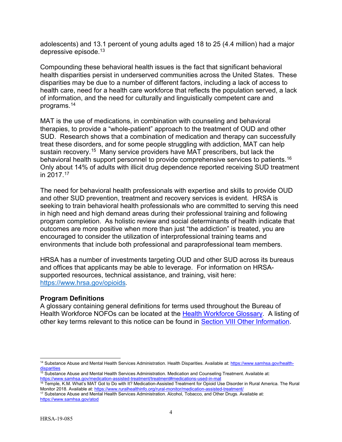adolescents) and 13.1 percent of young adults aged 18 to 25 (4.4 million) had a major depressive episode. [13](#page-7-1)

Compounding these behavioral health issues is the fact that significant behavioral health disparities persist in underserved communities across the United States. These disparities may be due to a number of different factors, including a lack of access to health care, need for a health care workforce that reflects the population served, a lack of information, and the need for culturally and linguistically competent care and programs[.14](#page-8-0)

MAT is the use of medications, in combination with counseling and behavioral therapies, to provide a "whole-patient" approach to the treatment of OUD and other SUD. Research shows that a combination of medication and therapy can successfully treat these disorders, and for some people struggling with addiction, MAT can help sustain recovery.<sup>[15](#page-8-1)</sup> Many service providers have MAT prescribers, but lack the behavioral health support personnel to provide comprehensive services to patients.<sup>16</sup> Only about 14% of adults with illicit drug dependence reported receiving SUD treatment in 2017. [17](#page-8-3)

The need for behavioral health professionals with expertise and skills to provide OUD and other SUD prevention, treatment and recovery services is evident. HRSA is seeking to train behavioral health professionals who are committed to serving this need in high need and high demand areas during their professional training and following program completion. As holistic review and social determinants of health indicate that outcomes are more positive when more than just "the addiction" is treated, you are encouraged to consider the utilization of interprofessional training teams and environments that include both professional and paraprofessional team members.

HRSA has a number of investments targeting OUD and other SUD across its bureaus and offices that applicants may be able to leverage. For information on HRSAsupported resources, technical assistance, and training, visit here: <https://www.hrsa.gov/opioids>.

#### **Program Definitions**

A glossary containing general definitions for terms used throughout the Bureau of Health Workforce NOFOs can be located at the [Health Workforce Glossary.](https://bhw.hrsa.gov/grants/resourcecenter/glossary) A listing of other key terms relevant to this notice can be found in [Section VIII Other Information.](#page-44-0)

<span id="page-8-0"></span> $\overline{a}$ <sup>14</sup> Substance Abuse and Mental Health Services Administration. Health Disparities. Available at: [https://www.samhsa.gov/health](https://www.samhsa.gov/health-disparities)[disparities](https://www.samhsa.gov/health-disparities)

<span id="page-8-1"></span><sup>&</sup>lt;sup>15</sup> Substance Abuse and Mental Health Services Administration. Medication and Counseling Treatment. Available at: <https://www.samhsa.gov/medication-assisted-treatment/treatment#medications-used-in-mat>

<span id="page-8-2"></span><sup>&</sup>lt;sup>16</sup> Temple, K.M. What's MAT Got to Do with It? Medication-Assisted Treatment for Opioid Use Disorder in Rural America. The Rural Monitor 2018. Available at:<https://www.ruralhealthinfo.org/rural-monitor/medication-assisted-treatment/>

<span id="page-8-3"></span><sup>17</sup> Substance Abuse and Mental Health Services Administration. Alcohol, Tobacco, and Other Drugs. Available at: <https://www.samhsa.gov/atod>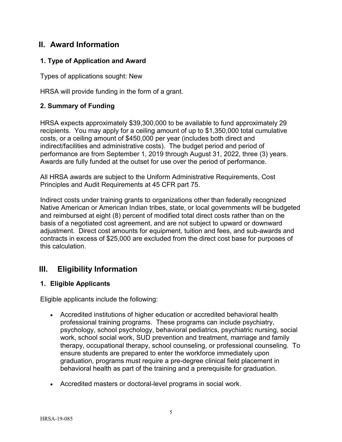# <span id="page-9-1"></span>**II. Award Information**

## <span id="page-9-2"></span>**1. Type of Application and Award**

Types of applications sought: New

HRSA will provide funding in the form of a grant.

## <span id="page-9-3"></span>**2. Summary of Funding**

HRSA expects approximately \$39,300,000 to be available to fund approximately 29 recipients. You may apply for a ceiling amount of up to \$1,350,000 total cumulative costs, or a ceiling amount of \$450,000 per year (includes both direct and indirect/facilities and administrative costs). The budget period and period of performance are from September 1, 2019 through August 31, 2022, three (3) years. Awards are fully funded at the outset for use over the period of performance.

All HRSA awards are subject to the Uniform Administrative Requirements, Cost Principles and Audit Requirements at 45 CFR part 75.

Indirect costs under training grants to organizations other than federally recognized Native American or American Indian tribes, state, or local governments will be budgeted and reimbursed at eight (8) percent of modified total direct costs rather than on the basis of a negotiated cost agreement, and are not subject to upward or downward adjustment. Direct cost amounts for equipment, tuition and fees, and sub-awards and contracts in excess of \$25,000 are excluded from the direct cost base for purposes of this calculation.

# <span id="page-9-4"></span>**III. Eligibility Information**

## <span id="page-9-0"></span>**1. Eligible Applicants**

Eligible applicants include the following:

- Accredited institutions of higher education or accredited behavioral health professional training programs. These programs can include psychiatry, psychology, school psychology, behavioral pediatrics, psychiatric nursing, social work, school social work, SUD prevention and treatment, marriage and family therapy, occupational therapy, school counseling, or professional counseling. To ensure students are prepared to enter the workforce immediately upon graduation, programs must require a pre-degree clinical field placement in behavioral health as part of the training and a prerequisite for graduation.
- Accredited masters or doctoral-level programs in social work.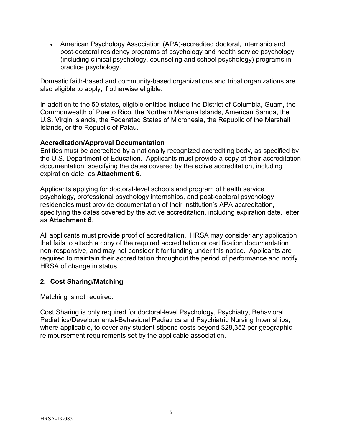• American Psychology Association (APA)-accredited doctoral, internship and post-doctoral residency programs of psychology and health service psychology (including clinical psychology, counseling and school psychology) programs in practice psychology.

Domestic faith-based and community-based organizations and tribal organizations are also eligible to apply, if otherwise eligible.

In addition to the 50 states, eligible entities include the District of Columbia, Guam, the Commonwealth of Puerto Rico, the Northern Mariana Islands, American Samoa, the U.S. Virgin Islands, the Federated States of Micronesia, the Republic of the Marshall Islands, or the Republic of Palau.

#### **Accreditation/Approval Documentation**

Entities must be accredited by a nationally recognized accrediting body, as specified by the U.S. Department of Education. Applicants must provide a copy of their accreditation documentation, specifying the dates covered by the active accreditation, including expiration date, as **Attachment 6**.

Applicants applying for doctoral-level schools and program of health service psychology, professional psychology internships, and post-doctoral psychology residencies must provide documentation of their institution's APA accreditation, specifying the dates covered by the active accreditation, including expiration date, letter as **Attachment 6**.

All applicants must provide proof of accreditation. HRSA may consider any application that fails to attach a copy of the required accreditation or certification documentation non-responsive, and may not consider it for funding under this notice. Applicants are required to maintain their accreditation throughout the period of performance and notify HRSA of change in status.

## <span id="page-10-0"></span>**2. Cost Sharing/Matching**

Matching is not required.

Cost Sharing is only required for doctoral-level Psychology, Psychiatry, Behavioral Pediatrics/Developmental-Behavioral Pediatrics and Psychiatric Nursing Internships, where applicable, to cover any student stipend costs beyond \$28,352 per geographic reimbursement requirements set by the applicable association.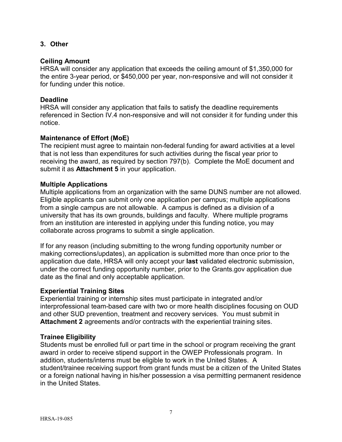#### <span id="page-11-0"></span>**3. Other**

#### **Ceiling Amount**

HRSA will consider any application that exceeds the ceiling amount of \$1,350,000 for the entire 3-year period, or \$450,000 per year, non-responsive and will not consider it for funding under this notice.

#### **Deadline**

HRSA will consider any application that fails to satisfy the deadline requirements referenced in Section IV.4 non-responsive and will not consider it for funding under this notice.

#### **Maintenance of Effort (MoE)**

The recipient must agree to maintain non-federal funding for award activities at a level that is not less than expenditures for such activities during the fiscal year prior to receiving the award, as required by section 797(b). Complete the MoE document and submit it as **Attachment 5** in your application.

#### **Multiple Applications**

Multiple applications from an organization with the same DUNS number are not allowed. Eligible applicants can submit only one application per campus; multiple applications from a single campus are not allowable. A campus is defined as a division of a university that has its own grounds, buildings and faculty. Where multiple programs from an institution are interested in applying under this funding notice, you may collaborate across programs to submit a single application.

If for any reason (including submitting to the wrong funding opportunity number or making corrections/updates), an application is submitted more than once prior to the application due date, HRSA will only accept your **last** validated electronic submission, under the correct funding opportunity number, prior to the Grants.gov application due date as the final and only acceptable application.

#### **Experiential Training Sites**

Experiential training or internship sites must participate in integrated and/or interprofessional team-based care with two or more health disciplines focusing on OUD and other SUD prevention, treatment and recovery services. You must submit in **Attachment 2** agreements and/or contracts with the experiential training sites.

#### **Trainee Eligibility**

Students must be enrolled full or part time in the school or program receiving the grant award in order to receive stipend support in the OWEP Professionals program. In addition, students/interns must be eligible to work in the United States. A student/trainee receiving support from grant funds must be a citizen of the United States or a foreign national having in his/her possession a visa permitting permanent residence in the United States.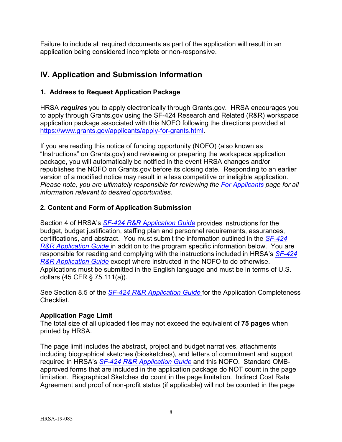Failure to include all required documents as part of the application will result in an application being considered incomplete or non-responsive.

# <span id="page-12-0"></span>**IV. Application and Submission Information**

### <span id="page-12-1"></span>**1. Address to Request Application Package**

HRSA *requires* you to apply electronically through Grants.gov. HRSA encourages you to apply through Grants.gov using the SF-424 Research and Related (R&R) workspace application package associated with this NOFO following the directions provided at [https://www.grants.gov/applicants/apply-for-grants.html.](https://www.grants.gov/applicants/apply-for-grants.html)

If you are reading this notice of funding opportunity (NOFO) (also known as "Instructions" on Grants.gov) and reviewing or preparing the workspace application package, you will automatically be notified in the event HRSA changes and/or republishes the NOFO on Grants.gov before its closing date. Responding to an earlier version of a modified notice may result in a less competitive or ineligible application. *Please note, you are ultimately responsible for reviewing the [For Applicants](https://www.grants.gov/web/grants/applicants.html) page for all information relevant to desired opportunities.*

### <span id="page-12-2"></span>**2. Content and Form of Application Submission**

Section 4 of HRSA's *SF-424 R&R [Application Guide](http://www.hrsa.gov/grants/apply/applicationguide/sf424rrguidev2.pdf)* provides instructions for the budget, budget justification, staffing plan and personnel requirements, assurances, certifications, and abstract. You must submit the information outlined in the *[SF-424](http://www.hrsa.gov/grants/apply/applicationguide/sf424rrguidev2.pdf) R&R [Application Guide](http://www.hrsa.gov/grants/apply/applicationguide/sf424rrguidev2.pdf)* in addition to the program specific information below. You are responsible for reading and complying with the instructions included in HRSA's *[SF-424](http://www.hrsa.gov/grants/apply/applicationguide/sf424rrguidev2.pdf) R&R [Application Guide](http://www.hrsa.gov/grants/apply/applicationguide/sf424rrguidev2.pdf)* except where instructed in the NOFO to do otherwise. Applications must be submitted in the English language and must be in terms of U.S. dollars (45 CFR § 75.111(a)).

See Section 8.5 of the *SF-424 R&R [Application Guide](http://www.hrsa.gov/grants/apply/applicationguide/sf424rrguidev2.pdf)* for the Application Completeness Checklist.

#### **Application Page Limit**

The total size of all uploaded files may not exceed the equivalent of **75 pages** when printed by HRSA.

The page limit includes the abstract, project and budget narratives, attachments including biographical sketches (biosketches), and letters of commitment and support required in HRSA's *SF-424 R&R [Application Guide](http://www.hrsa.gov/grants/apply/applicationguide/sf424rrguidev2.pdf)* and this NOFO. Standard OMBapproved forms that are included in the application package do NOT count in the page limitation. Biographical Sketches **do** count in the page limitation. Indirect Cost Rate Agreement and proof of non-profit status (if applicable) will not be counted in the page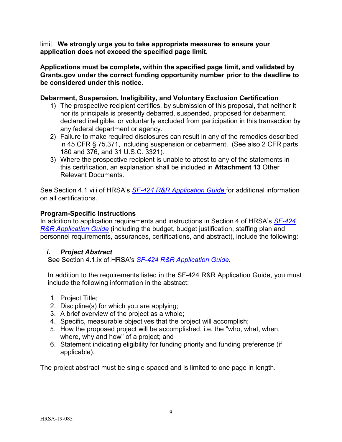limit. **We strongly urge you to take appropriate measures to ensure your application does not exceed the specified page limit.**

**Applications must be complete, within the specified page limit, and validated by Grants.gov under the correct funding opportunity number prior to the deadline to be considered under this notice.**

### **Debarment, Suspension, Ineligibility, and Voluntary Exclusion Certification**

- 1) The prospective recipient certifies, by submission of this proposal, that neither it nor its principals is presently debarred, suspended, proposed for debarment, declared ineligible, or voluntarily excluded from participation in this transaction by any federal department or agency.
- 2) Failure to make required disclosures can result in any of the remedies described in 45 CFR § 75.371, including suspension or debarment. (See also 2 CFR parts 180 and 376, and 31 U.S.C. 3321).
- 3) Where the prospective recipient is unable to attest to any of the statements in this certification, an explanation shall be included in **Attachment 13** Other Relevant Documents.

See Section 4.1 viii of HRSA's *SF-424 R&R [Application Guide](http://www.hrsa.gov/grants/apply/applicationguide/sf424rrguidev2.pdf)* for additional information on all certifications.

### **Program-Specific Instructions**

In addition to application requirements and instructions in Section 4 of HRSA's *[SF-424](http://www.hrsa.gov/grants/apply/applicationguide/sf424rrguidev2.pdf) R&R [Application Guide](http://www.hrsa.gov/grants/apply/applicationguide/sf424rrguidev2.pdf)* (including the budget, budget justification, staffing plan and personnel requirements, assurances, certifications, and abstract), include the following:

## <span id="page-13-0"></span>*i. Project Abstract*

See Section 4.1.ix of HRSA's *SF-424 R&R [Application Guide.](http://www.hrsa.gov/grants/apply/applicationguide/sf424rrguidev2.pdf)*

In addition to the requirements listed in the SF-424 R&R Application Guide, you must include the following information in the abstract:

- 1. Project Title;
- 2. Discipline(s) for which you are applying;
- 3. A brief overview of the project as a whole;
- 4. Specific, measurable objectives that the project will accomplish;
- 5. How the proposed project will be accomplished, i.e. the "who, what, when, where, why and how" of a project; and
- 6. Statement indicating eligibility for funding priority and funding preference (if applicable).

The project abstract must be single-spaced and is limited to one page in length.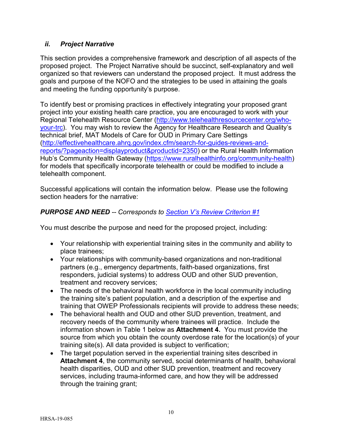## <span id="page-14-0"></span>*ii. Project Narrative*

This section provides a comprehensive framework and description of all aspects of the proposed project. The Project Narrative should be succinct, self-explanatory and well organized so that reviewers can understand the proposed project. It must address the goals and purpose of the NOFO and the strategies to be used in attaining the goals and meeting the funding opportunity's purpose.

To identify best or promising practices in effectively integrating your proposed grant project into your existing health care practice, you are encouraged to work with your Regional Telehealth Resource Center [\(http://www.telehealthresourcecenter.org/who](http://www.telehealthresourcecenter.org/who-your-trc)[your-trc\)](http://www.telehealthresourcecenter.org/who-your-trc). You may wish to review the Agency for Healthcare Research and Quality's technical brief, MAT Models of Care for OUD in Primary Care Settings [\(http://effectivehealthcare.ahrq.gov/index.cfm/search-for-guides-reviews-and](http://effectivehealthcare.ahrq.gov/index.cfm/search-for-guides-reviews-and-reports/?pageaction=displayproduct&productid=2350)[reports/?pageaction=displayproduct&productid=2350\)](http://effectivehealthcare.ahrq.gov/index.cfm/search-for-guides-reviews-and-reports/?pageaction=displayproduct&productid=2350) or the Rural Health Information Hub's Community Health Gateway [\(https://www.ruralhealthinfo.org/community-health\)](https://www.ruralhealthinfo.org/community-health) for models that specifically incorporate telehealth or could be modified to include a telehealth component.

Successful applications will contain the information below. Please use the following section headers for the narrative:

## <span id="page-14-1"></span>*PURPOSE AND NEED -- Corresponds to [Section V's Review Criterion #1](#page-29-2)*

You must describe the purpose and need for the proposed project, including:

- Your relationship with experiential training sites in the community and ability to place trainees;
- Your relationships with community-based organizations and non-traditional partners (e.g., emergency departments, faith-based organizations, first responders, judicial systems) to address OUD and other SUD prevention, treatment and recovery services;
- The needs of the behavioral health workforce in the local community including the training site's patient population, and a description of the expertise and training that OWEP Professionals recipients will provide to address these needs;
- The behavioral health and OUD and other SUD prevention, treatment, and recovery needs of the community where trainees will practice. Include the information shown in Table 1 below as **Attachment 4.** You must provide the source from which you obtain the county overdose rate for the location(s) of your training site(s). All data provided is subject to verification;
- The target population served in the experiential training sites described in **Attachment 4**, the community served, social determinants of health, behavioral health disparities, OUD and other SUD prevention, treatment and recovery services, including trauma-informed care, and how they will be addressed through the training grant;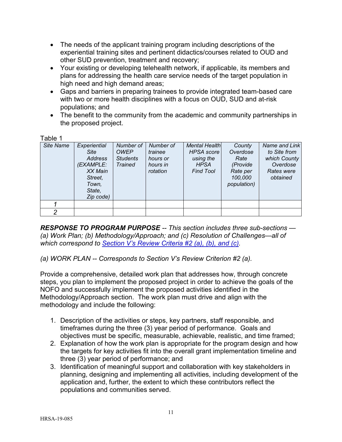- The needs of the applicant training program including descriptions of the experiential training sites and pertinent didactics/courses related to OUD and other SUD prevention, treatment and recovery;
- Your existing or developing telehealth network, if applicable, its members and plans for addressing the health care service needs of the target population in high need and high demand areas;
- Gaps and barriers in preparing trainees to provide integrated team-based care with two or more health disciplines with a focus on OUD, SUD and at-risk populations; and
- The benefit to the community from the academic and community partnerships in the proposed project.

Table 1

| Site Name | Experiential<br><b>Site</b><br>Address<br>(EXAMPLE:<br>XX Main<br>Street,<br>Town.<br>State, | Number of<br><b>OWEP</b><br><b>Students</b><br><b>Trained</b> | Number of<br>trainee<br>hours or<br>hours in<br>rotation | <b>Mental Health</b><br><b>HPSA</b> score<br>using the<br><b>HPSA</b><br><b>Find Tool</b> | County<br>Overdose<br>Rate<br>(Provide<br>Rate per<br>100,000<br>population) | Name and Link<br>to Site from<br>which County<br>Overdose<br>Rates were<br>obtained |
|-----------|----------------------------------------------------------------------------------------------|---------------------------------------------------------------|----------------------------------------------------------|-------------------------------------------------------------------------------------------|------------------------------------------------------------------------------|-------------------------------------------------------------------------------------|
|           | Zip code)                                                                                    |                                                               |                                                          |                                                                                           |                                                                              |                                                                                     |
|           |                                                                                              |                                                               |                                                          |                                                                                           |                                                                              |                                                                                     |
| 2         |                                                                                              |                                                               |                                                          |                                                                                           |                                                                              |                                                                                     |

<span id="page-15-0"></span>*RESPONSE TO PROGRAM PURPOSE -- This section includes three sub-sections — (a) Work Plan; (b) Methodology/Approach; and (c) Resolution of Challenges—all of which correspond to [Section V's Review Criteria #2 \(a\), \(b\), and \(c\).](#page-30-0)*

*(a) WORK PLAN -- Corresponds to Section V's Review Criterion #2 (a).* 

Provide a comprehensive, detailed work plan that addresses how, through concrete steps, you plan to implement the proposed project in order to achieve the goals of the NOFO and successfully implement the proposed activities identified in the Methodology/Approach section. The work plan must drive and align with the methodology and include the following:

- 1. Description of the activities or steps, key partners, staff responsible, and timeframes during the three (3) year period of performance. Goals and objectives must be specific, measurable, achievable, realistic, and time framed;
- 2. Explanation of how the work plan is appropriate for the program design and how the targets for key activities fit into the overall grant implementation timeline and three (3) year period of performance; and
- 3. Identification of meaningful support and collaboration with key stakeholders in planning, designing and implementing all activities, including development of the application and, further, the extent to which these contributors reflect the populations and communities served.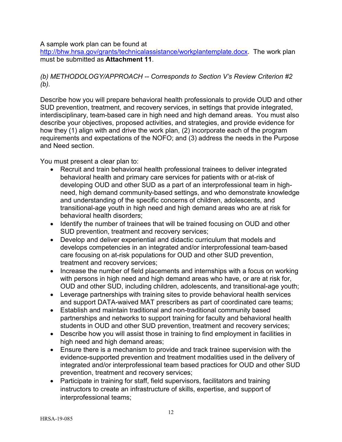A sample work plan can be found at

[http://bhw.hrsa.gov/grants/technicalassistance/workplantemplate.docx.](http://bhw.hrsa.gov/grants/technicalassistance/workplantemplate.docx) The work plan must be submitted as **Attachment 11**.

## *(b) METHODOLOGY/APPROACH -- Corresponds to Section V's Review Criterion #2 (b).*

Describe how you will prepare behavioral health professionals to provide OUD and other SUD prevention, treatment, and recovery services, in settings that provide integrated, interdisciplinary, team-based care in high need and high demand areas. You must also describe your objectives, proposed activities, and strategies, and provide evidence for how they (1) align with and drive the work plan, (2) incorporate each of the program requirements and expectations of the NOFO; and (3) address the needs in the Purpose and Need section.

You must present a clear plan to:

- Recruit and train behavioral health professional trainees to deliver integrated behavioral health and primary care services for patients with or at-risk of developing OUD and other SUD as a part of an interprofessional team in highneed, high demand community-based settings, and who demonstrate knowledge and understanding of the specific concerns of children, adolescents, and transitional-age youth in high need and high demand areas who are at risk for behavioral health disorders;
- Identify the number of trainees that will be trained focusing on OUD and other SUD prevention, treatment and recovery services;
- Develop and deliver experiential and didactic curriculum that models and develops competencies in an integrated and/or interprofessional team-based care focusing on at-risk populations for OUD and other SUD prevention, treatment and recovery services;
- Increase the number of field placements and internships with a focus on working with persons in high need and high demand areas who have, or are at risk for, OUD and other SUD, including children, adolescents, and transitional-age youth;
- Leverage partnerships with training sites to provide behavioral health services and support DATA-waived MAT prescribers as part of coordinated care teams;
- Establish and maintain traditional and non-traditional community based partnerships and networks to support training for faculty and behavioral health students in OUD and other SUD prevention, treatment and recovery services;
- Describe how you will assist those in training to find employment in facilities in high need and high demand areas;
- Ensure there is a mechanism to provide and track trainee supervision with the evidence-supported prevention and treatment modalities used in the delivery of integrated and/or interprofessional team based practices for OUD and other SUD prevention, treatment and recovery services;
- Participate in training for staff, field supervisors, facilitators and training instructors to create an infrastructure of skills, expertise, and support of interprofessional teams;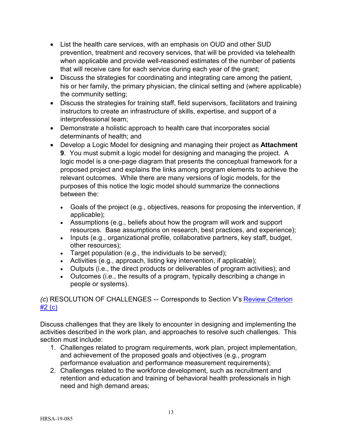- List the health care services, with an emphasis on OUD and other SUD prevention, treatment and recovery services, that will be provided via telehealth when applicable and provide well-reasoned estimates of the number of patients that will receive care for each service during each year of the grant;
- Discuss the strategies for coordinating and integrating care among the patient, his or her family, the primary physician, the clinical setting and (where applicable) the community setting;
- Discuss the strategies for training staff, field supervisors, facilitators and training instructors to create an infrastructure of skills, expertise, and support of a interprofessional team;
- Demonstrate a holistic approach to health care that incorporates social determinants of health; and
- Develop a Logic Model for designing and managing their project as **Attachment 9**. You must submit a logic model for designing and managing the project. A logic model is a one-page diagram that presents the conceptual framework for a proposed project and explains the links among program elements to achieve the relevant outcomes. While there are many versions of logic models, for the purposes of this notice the logic model should summarize the connections between the:
	- Goals of the project (e.g., objectives, reasons for proposing the intervention, if applicable);
	- Assumptions (e.g., beliefs about how the program will work and support resources. Base assumptions on research, best practices, and experience);
	- Inputs (e.g., organizational profile, collaborative partners, key staff, budget, other resources);
	- Target population (e.g., the individuals to be served);
	- Activities (e.g., approach, listing key intervention, if applicable);
	- Outputs (i.e., the direct products or deliverables of program activities); and
	- Outcomes (i.e., the results of a program, typically describing a change in people or systems).

# *(c*) RESOLUTION OF CHALLENGES -- Corresponds to Section V's Review Criterion #2 (c)

Discuss challenges that they are likely to encounter in designing and implementing the activities described in the work plan, and approaches to resolve such challenges. This section must include:

- 1. Challenges related to program requirements, work plan, project implementation, and achievement of the proposed goals and objectives (e.g., program performance evaluation and performance measurement requirements);
- 2. Challenges related to the workforce development, such as recruitment and retention and education and training of behavioral health professionals in high need and high demand areas;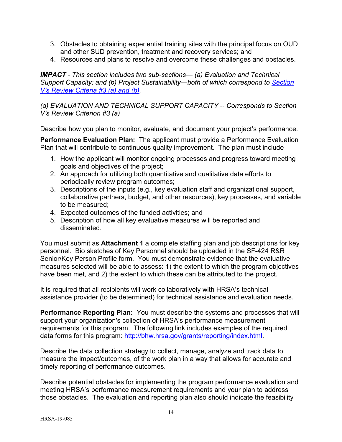- 3. Obstacles to obtaining experiential training sites with the principal focus on OUD and other SUD prevention, treatment and recovery services; and
- 4. Resources and plans to resolve and overcome these challenges and obstacles.

<span id="page-18-0"></span>*IMPACT - This section includes two sub-sections— (a) Evaluation and Technical Support Capacity; and (b) Project Sustainability—both of which correspond to [Section](#page-32-0)  [V's Review Criteria #3 \(a\) and \(b\).](#page-32-0)*

*(a) EVALUATION AND TECHNICAL SUPPORT CAPACITY -- Corresponds to Section V's Review Criterion #3 (a)*

Describe how you plan to monitor, evaluate, and document your project's performance.

**Performance Evaluation Plan:** The applicant must provide a Performance Evaluation Plan that will contribute to continuous quality improvement. The plan must include

- 1. How the applicant will monitor ongoing processes and progress toward meeting goals and objectives of the project;
- 2. An approach for utilizing both quantitative and qualitative data efforts to periodically review program outcomes;
- 3. Descriptions of the inputs (e.g., key evaluation staff and organizational support, collaborative partners, budget, and other resources), key processes, and variable to be measured;
- 4. Expected outcomes of the funded activities; and
- 5. Description of how all key evaluative measures will be reported and disseminated.

You must submit as **Attachment 1** a complete staffing plan and job descriptions for key personnel. Bio sketches of Key Personnel should be uploaded in the SF-424 R&R Senior/Key Person Profile form. You must demonstrate evidence that the evaluative measures selected will be able to assess: 1) the extent to which the program objectives have been met, and 2) the extent to which these can be attributed to the project.

It is required that all recipients will work collaboratively with HRSA's technical assistance provider (to be determined) for technical assistance and evaluation needs.

**Performance Reporting Plan:** You must describe the systems and processes that will support your organization's collection of HRSA's performance measurement requirements for this program. The following link includes examples of the required data forms for this program: [http://bhw.hrsa.gov/grants/reporting/index.html.](http://bhw.hrsa.gov/grants/reporting/index.html)

Describe the data collection strategy to collect, manage, analyze and track data to measure the impact/outcomes, of the work plan in a way that allows for accurate and timely reporting of performance outcomes.

Describe potential obstacles for implementing the program performance evaluation and meeting HRSA's performance measurement requirements and your plan to address those obstacles. The evaluation and reporting plan also should indicate the feasibility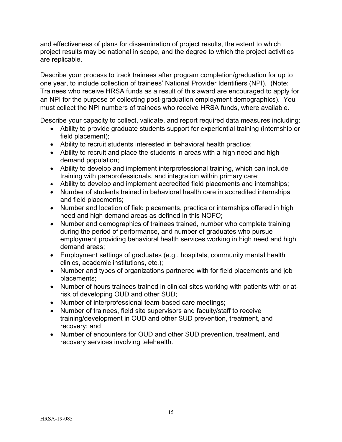and effectiveness of plans for dissemination of project results, the extent to which project results may be national in scope, and the degree to which the project activities are replicable.

Describe your process to track trainees after program completion/graduation for up to one year, to include collection of trainees' National Provider Identifiers (NPI). (Note: Trainees who receive HRSA funds as a result of this award are encouraged to apply for an NPI for the purpose of collecting post-graduation employment demographics). You must collect the NPI numbers of trainees who receive HRSA funds, where available.

Describe your capacity to collect, validate, and report required data measures including:

- Ability to provide graduate students support for experiential training (internship or field placement);
- Ability to recruit students interested in behavioral health practice;
- Ability to recruit and place the students in areas with a high need and high demand population;
- Ability to develop and implement interprofessional training, which can include training with paraprofessionals, and integration within primary care;
- Ability to develop and implement accredited field placements and internships;
- Number of students trained in behavioral health care in accredited internships and field placements;
- Number and location of field placements, practica or internships offered in high need and high demand areas as defined in this NOFO;
- Number and demographics of trainees trained, number who complete training during the period of performance, and number of graduates who pursue employment providing behavioral health services working in high need and high demand areas;
- Employment settings of graduates (e.g., hospitals, community mental health clinics, academic institutions, etc.);
- Number and types of organizations partnered with for field placements and job placements;
- Number of hours trainees trained in clinical sites working with patients with or atrisk of developing OUD and other SUD;
- Number of interprofessional team-based care meetings;
- Number of trainees, field site supervisors and faculty/staff to receive training/development in OUD and other SUD prevention, treatment, and recovery; and
- Number of encounters for OUD and other SUD prevention, treatment, and recovery services involving telehealth.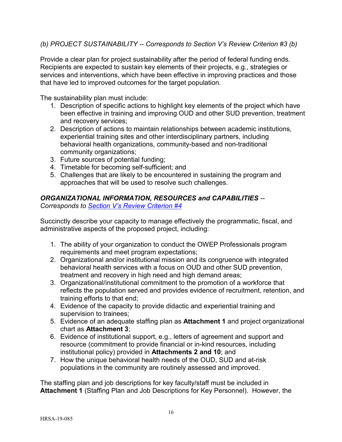### *(b) PROJECT SUSTAINABILITY -- Corresponds to Section V's Review Criterion #3 (b)*

Provide a clear plan for project sustainability after the period of federal funding ends. Recipients are expected to sustain key elements of their projects, e.g., strategies or services and interventions, which have been effective in improving practices and those that have led to improved outcomes for the target population.

The sustainability plan must include:

- 1. Description of specific actions to highlight key elements of the project which have been effective in training and improving OUD and other SUD prevention, treatment and recovery services;
- 2. Description of actions to maintain relationships between academic institutions, experiential training sites and other interdisciplinary partners, including behavioral health organizations, community-based and non-traditional community organizations;
- 3. Future sources of potential funding;
- 4. Timetable for becoming self-sufficient; and
- 5. Challenges that are likely to be encountered in sustaining the program and approaches that will be used to resolve such challenges.

### <span id="page-20-0"></span>*ORGANIZATIONAL INFORMATION, RESOURCES and CAPABILITIES --*

*Corresponds to [Section V's Review Criterion #4](#page-34-0)*

Succinctly describe your capacity to manage effectively the programmatic, fiscal, and administrative aspects of the proposed project, including:

- 1. The ability of your organization to conduct the OWEP Professionals program requirements and meet program expectations;
- 2. Organizational and/or institutional mission and its congruence with integrated behavioral health services with a focus on OUD and other SUD prevention, treatment and recovery in high need and high demand areas;
- 3. Organizational/institutional commitment to the promotion of a workforce that reflects the population served and provides evidence of recruitment, retention, and training efforts to that end;
- 4. Evidence of the capacity to provide didactic and experiential training and supervision to trainees;
- 5. Evidence of an adequate staffing plan as **Attachment 1** and project organizational chart as **Attachment 3**;
- 6. Evidence of institutional support, e.g., letters of agreement and support and resource (commitment to provide financial or in-kind resources, including institutional policy) provided in **Attachments 2 and 10**; and
- 7. How the unique behavioral health needs of the OUD, SUD and at-risk populations in the community are routinely assessed and improved.

The staffing plan and job descriptions for key faculty/staff must be included in **Attachment 1** (Staffing Plan and Job Descriptions for Key Personnel). However, the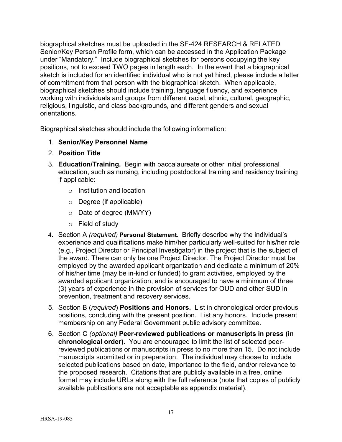biographical sketches must be uploaded in the SF-424 RESEARCH & RELATED Senior/Key Person Profile form, which can be accessed in the Application Package under "Mandatory." Include biographical sketches for persons occupying the key positions, not to exceed TWO pages in length each. In the event that a biographical sketch is included for an identified individual who is not yet hired, please include a letter of commitment from that person with the biographical sketch. When applicable, biographical sketches should include training, language fluency, and experience working with individuals and groups from different racial, ethnic, cultural, geographic, religious, linguistic, and class backgrounds, and different genders and sexual orientations.

Biographical sketches should include the following information:

- 1. **Senior/Key Personnel Name**
- 2. **Position Title**
- 3. **Education/Training.** Begin with baccalaureate or other initial professional education, such as nursing, including postdoctoral training and residency training if applicable:
	- o Institution and location
	- o Degree (if applicable)
	- o Date of degree (MM/YY)
	- o Field of study
- 4. Section A *(required)* **Personal Statement.** Briefly describe why the individual's experience and qualifications make him/her particularly well-suited for his/her role (e.g., Project Director or Principal Investigator) in the project that is the subject of the award. There can only be one Project Director. The Project Director must be employed by the awarded applicant organization and dedicate a minimum of 20% of his/her time (may be in-kind or funded) to grant activities, employed by the awarded applicant organization, and is encouraged to have a minimum of three (3) years of experience in the provision of services for OUD and other SUD in prevention, treatment and recovery services.
- 5. Section B (*required*) **Positions and Honors.** List in chronological order previous positions, concluding with the present position. List any honors. Include present membership on any Federal Government public advisory committee.
- 6. Section C *(optional)* **Peer-reviewed publications or manuscripts in press (in chronological order).** You are encouraged to limit the list of selected peerreviewed publications or manuscripts in press to no more than 15. Do not include manuscripts submitted or in preparation. The individual may choose to include selected publications based on date, importance to the field, and/or relevance to the proposed research. Citations that are publicly available in a free, online format may include URLs along with the full reference (note that copies of publicly available publications are not acceptable as appendix material).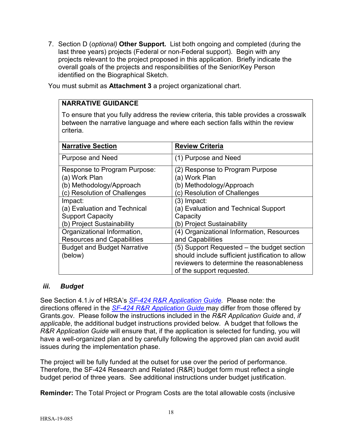7. Section D (*optional)* **Other Support.** List both ongoing and completed (during the last three years) projects (Federal or non-Federal support). Begin with any projects relevant to the project proposed in this application. Briefly indicate the overall goals of the projects and responsibilities of the Senior/Key Person identified on the Biographical Sketch.

You must submit as **Attachment 3** a project organizational chart.

## **NARRATIVE GUIDANCE**

To ensure that you fully address the review criteria, this table provides a crosswalk between the narrative language and where each section falls within the review criteria.

| <b>Narrative Section</b>           | <b>Review Criteria</b>                           |
|------------------------------------|--------------------------------------------------|
| <b>Purpose and Need</b>            | (1) Purpose and Need                             |
| Response to Program Purpose:       | (2) Response to Program Purpose                  |
| (a) Work Plan                      | (a) Work Plan                                    |
| (b) Methodology/Approach           | (b) Methodology/Approach                         |
| (c) Resolution of Challenges       | c) Resolution of Challenges                      |
| Impact:                            | (3) Impact:                                      |
| (a) Evaluation and Technical       | (a) Evaluation and Technical Support             |
| <b>Support Capacity</b>            | Capacity                                         |
| (b) Project Sustainability         | (b) Project Sustainability                       |
| Organizational Information,        | (4) Organizational Information, Resources        |
| <b>Resources and Capabilities</b>  | and Capabilities                                 |
| <b>Budget and Budget Narrative</b> | (5) Support Requested – the budget section       |
| (below)                            | should include sufficient justification to allow |
|                                    | reviewers to determine the reasonableness        |
|                                    | of the support requested.                        |

#### <span id="page-22-0"></span>*iii. Budget*

See Section 4.1.iv of HRSA's *SF-424 R&R [Application Guide.](http://www.hrsa.gov/grants/apply/applicationguide/sf424rrguidev2.pdf)* Please note: the directions offered in the *SF-424 R&R [Application Guide](http://www.hrsa.gov/grants/apply/applicationguide/sf424rrguidev2.pdf)* may differ from those offered by Grants.gov. Please follow the instructions included in the *R&R Application Guide* and, *if applicable*, the additional budget instructions provided below. A budget that follows the *R&R Application Guide* will ensure that, if the application is selected for funding, you will have a well-organized plan and by carefully following the approved plan can avoid audit issues during the implementation phase.

The project will be fully funded at the outset for use over the period of performance. Therefore, the SF-424 Research and Related (R&R) budget form must reflect a single budget period of three years. See additional instructions under budget justification.

**Reminder:** The Total Project or Program Costs are the total allowable costs (inclusive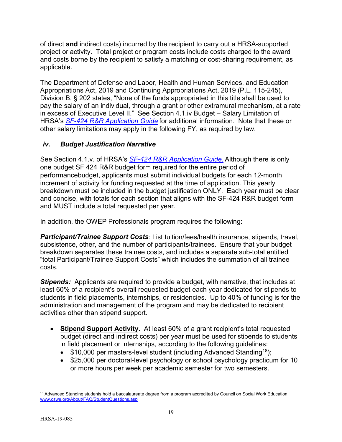of direct **and** indirect costs) incurred by the recipient to carry out a HRSA-supported project or activity. Total project or program costs include costs charged to the award and costs borne by the recipient to satisfy a matching or cost-sharing requirement, as applicable.

The Department of Defense and Labor, Health and Human Services, and Education Appropriations Act, 2019 and Continuing Appropriations Act, 2019 (P.L. 115-245), Division B, § 202 states, "None of the funds appropriated in this title shall be used to pay the salary of an individual, through a grant or other extramural mechanism, at a rate in excess of Executive Level II." See Section 4.1.iv Budget – Salary Limitation of HRSA's *SF-424 R&R [Application Guide](http://www.hrsa.gov/grants/apply/applicationguide/sf424rrguidev2.pdf)* for additional information. Note that these or other salary limitations may apply in the following FY, as required by law.

## <span id="page-23-0"></span>*iv. Budget Justification Narrative*

See Section 4.1.v. of HRSA's *SF-424 R&R [Application Guide.](http://www.hrsa.gov/grants/apply/applicationguide/sf424rrguidev2.pdf)* Although there is only one budget SF 424 R&R budget form required for the entire period of performancebudget, applicants must submit individual budgets for each 12-month increment of activity for funding requested at the time of application. This yearly breakdown must be included in the budget justification ONLY. Each year must be clear and concise, with totals for each section that aligns with the SF-424 R&R budget form and MUST include a total requested per year.

In addition, the OWEP Professionals program requires the following:

*Participant/Trainee Support Costs:* List tuition/fees/health insurance, stipends, travel, subsistence, other, and the number of participants/trainees. Ensure that your budget breakdown separates these trainee costs, and includes a separate sub-total entitled "total Participant/Trainee Support Costs" which includes the summation of all trainee costs*.* 

**Stipends:** Applicants are required to provide a budget, with narrative, that includes at least 60% of a recipient's overall requested budget each year dedicated for stipends to students in field placements, internships, or residencies. Up to 40% of funding is for the administration and management of the program and may be dedicated to recipient activities other than stipend support.

- **Stipend Support Activity.** At least 60% of a grant recipient's total requested budget (direct and indirect costs) per year must be used for stipends to students in field placement or internships, according to the following guidelines:
	- $$10,000$  per masters-level student (including Advanced Standing<sup>[18](#page-23-1)</sup>);
	- \$25,000 per doctoral-level psychology or school psychology practicum for 10 or more hours per week per academic semester for two semesters.

<span id="page-23-1"></span> $\overline{a}$  $18$  Advanced Standing students hold a baccalaureate degree from a program accredited by Council on Social Work Education [www.cswe.org/About/FAQ/StudentQuestions.asp](http://www.cswe.org/About/FAQ/StudentQuestions.asp)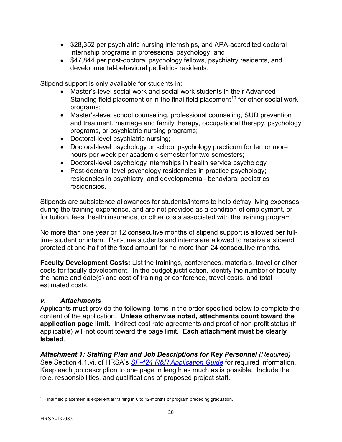- \$28,352 per psychiatric nursing internships, and APA-accredited doctoral internship programs in professional psychology; and
- \$47,844 per post-doctoral psychology fellows, psychiatry residents, and developmental-behavioral pediatrics residents.

Stipend support is only available for students in:

- Master's-level social work and social work students in their Advanced Standing field placement or in the final field placement<sup>[19](#page-24-1)</sup> for other social work programs;
- Master's-level school counseling, professional counseling, SUD prevention and treatment, marriage and family therapy, occupational therapy, psychology programs, or psychiatric nursing programs;
- Doctoral-level psychiatric nursing;
- Doctoral-level psychology or school psychology practicum for ten or more hours per week per academic semester for two semesters;
- Doctoral-level psychology internships in health service psychology
- Post-doctoral level psychology residencies in practice psychology; residencies in psychiatry, and developmental- behavioral pediatrics residencies.

Stipends are subsistence allowances for students/interns to help defray living expenses during the training experience, and are not provided as a condition of employment, or for tuition, fees, health insurance, or other costs associated with the training program.

No more than one year or 12 consecutive months of stipend support is allowed per fulltime student or intern. Part-time students and interns are allowed to receive a stipend prorated at one-half of the fixed amount for no more than 24 consecutive months.

**Faculty Development Costs:** List the trainings, conferences, materials, travel or other costs for faculty development. In the budget justification, identify the number of faculty, the name and date(s) and cost of training or conference, travel costs, and total estimated costs.

#### <span id="page-24-0"></span>*v. Attachments*

Applicants must provide the following items in the order specified below to complete the content of the application. **Unless otherwise noted, attachments count toward the application page limit.** Indirect cost rate agreements and proof of non-profit status (if applicable) will not count toward the page limit. **Each attachment must be clearly labeled**.

**Attachment 1: Staffing Plan and Job Descriptions for Key Personnel (Required)** See Section 4.1.vi. of HRSA's *SF-424 R&R [Application Guide](http://www.hrsa.gov/grants/apply/applicationguide/sf424rrguidev2.pdf)* for required information. Keep each job description to one page in length as much as is possible. Include the role, responsibilities, and qualifications of proposed project staff.

<span id="page-24-1"></span> $\overline{a}$ <sup>19</sup> Final field placement is experiential training in 6 to 12-months of program preceding graduation.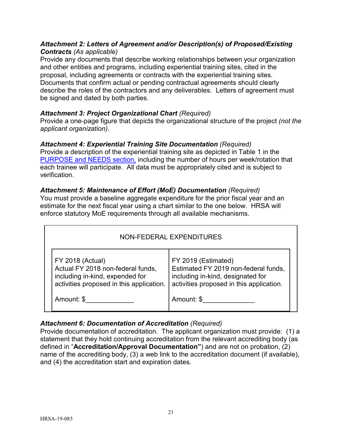### *Attachment 2: Letters of Agreement and/or Description(s) of Proposed/Existing Contracts (As applicable)*

Provide any documents that describe working relationships between your organization and other entities and programs, including experiential training sites, cited in the proposal, including agreements or contracts with the experiential training sites. Documents that confirm actual or pending contractual agreements should clearly describe the roles of the contractors and any deliverables. Letters of agreement must be signed and dated by both parties.

## *Attachment 3: Project Organizational Chart (Required)*

Provide a one-page figure that depicts the organizational structure of the project *(not the applicant organization)*.

### *Attachment 4: Experiential Training Site Documentation (Required)*

Provide a description of the experiential training site as depicted in Table 1 in the [PURPOSE and NEEDS section,](#page-14-1) including the number of hours per week/rotation that each trainee will participate. All data must be appropriately cited and is subject to verification.

## *Attachment 5: Maintenance of Effort (MoE) Documentation (Required)*

You must provide a baseline aggregate expenditure for the prior fiscal year and an estimate for the next fiscal year using a chart similar to the one below. HRSA will enforce statutory MoE requirements through all available mechanisms.

| NON-FEDERAL EXPENDITURES                                                                                                                                  |                                                                                                                                                            |  |  |
|-----------------------------------------------------------------------------------------------------------------------------------------------------------|------------------------------------------------------------------------------------------------------------------------------------------------------------|--|--|
| <b>FY 2018 (Actual)</b><br>Actual FY 2018 non-federal funds,<br>including in-kind, expended for<br>activities proposed in this application.<br>Amount: \$ | FY 2019 (Estimated)<br>Estimated FY 2019 non-federal funds,<br>including in-kind, designated for<br>activities proposed in this application.<br>Amount: \$ |  |  |

## *Attachment 6: Documentation of Accreditation (Required)*

Provide documentation of accreditation. The applicant organization must provide: (1) a statement that they hold continuing accreditation from the relevant accrediting body (as defined in "**Accreditation/Approval Documentation"**) and are not on probation, (2) name of the accrediting body, (3) a web link to the accreditation document (if available), and (4) the accreditation start and expiration dates.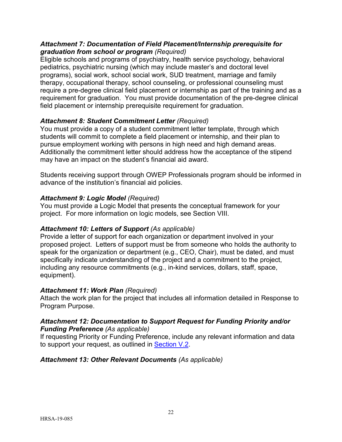### *Attachment 7: Documentation of Field Placement/Internship prerequisite for graduation from school or program (Required)*

Eligible schools and programs of psychiatry, health service psychology, behavioral pediatrics, psychiatric nursing (which may include master's and doctoral level programs), social work, school social work, SUD treatment, marriage and family therapy, occupational therapy, school counseling, or professional counseling must require a pre-degree clinical field placement or internship as part of the training and as a requirement for graduation. You must provide documentation of the pre-degree clinical field placement or internship prerequisite requirement for graduation.

## *Attachment 8: Student Commitment Letter (Required)*

You must provide a copy of a student commitment letter template, through which students will commit to complete a field placement or internship, and their plan to pursue employment working with persons in high need and high demand areas. Additionally the commitment letter should address how the acceptance of the stipend may have an impact on the student's financial aid award.

Students receiving support through OWEP Professionals program should be informed in advance of the institution's financial aid policies.

## *Attachment 9: Logic Model (Required)*

You must provide a Logic Model that presents the conceptual framework for your project. For more information on logic models, see Section VIII.

## *Attachment 10: Letters of Support (As applicable)*

Provide a letter of support for each organization or department involved in your proposed project. Letters of support must be from someone who holds the authority to speak for the organization or department (e.g., CEO, Chair), must be dated, and must specifically indicate understanding of the project and a commitment to the project, including any resource commitments (e.g., in-kind services, dollars, staff, space, equipment).

## *Attachment 11: Work Plan (Required)*

Attach the work plan for the project that includes all information detailed in Response to Program Purpose.

#### *Attachment 12: Documentation to Support Request for Funding Priority and/or Funding Preference (As applicable)*

If requesting Priority or Funding Preference, include any relevant information and data to support your request, as outlined in [Section V.2.](#page-35-1)

## *Attachment 13: Other Relevant Documents (As applicable)*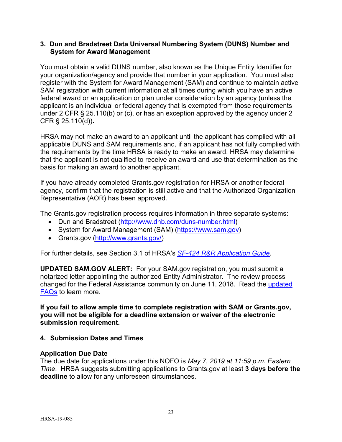#### <span id="page-27-0"></span>**3. Dun and Bradstreet Data Universal Numbering System (DUNS) Number and System for Award Management**

You must obtain a valid DUNS number, also known as the Unique Entity Identifier for your organization/agency and provide that number in your application. You must also register with the System for Award Management (SAM) and continue to maintain active SAM registration with current information at all times during which you have an active federal award or an application or plan under consideration by an agency (unless the applicant is an individual or federal agency that is exempted from those requirements under 2 CFR § 25.110(b) or (c), or has an exception approved by the agency under 2 CFR § 25.110(d))**.**

HRSA may not make an award to an applicant until the applicant has complied with all applicable DUNS and SAM requirements and, if an applicant has not fully complied with the requirements by the time HRSA is ready to make an award, HRSA may determine that the applicant is not qualified to receive an award and use that determination as the basis for making an award to another applicant.

If you have already completed Grants.gov registration for HRSA or another federal agency, confirm that the registration is still active and that the Authorized Organization Representative (AOR) has been approved.

The Grants.gov registration process requires information in three separate systems:

- Dun and Bradstreet [\(http://www.dnb.com/duns-number.html\)](http://www.dnb.com/duns-number.html)
- System for Award Management (SAM) [\(https://www.sam.gov\)](https://www.sam.gov/)
- Grants.gov [\(http://www.grants.gov/\)](http://www.grants.gov/)

For further details, see Section 3.1 of HRSA's *SF-424 R&R [Application Guide.](http://www.hrsa.gov/grants/apply/applicationguide/sf424rrguidev2.pdf)*

**UPDATED SAM.GOV ALERT:** For your SAM.gov registration, you must submit a notarized letter appointing the authorized Entity Administrator. The review process changed for the Federal Assistance community on June 11, 2018. Read the [updated](https://www.gsa.gov/about-us/organization/federal-acquisition-service/office-of-systems-management/integrated-award-environment-iae/sam-update)  [FAQs](https://www.gsa.gov/about-us/organization/federal-acquisition-service/office-of-systems-management/integrated-award-environment-iae/sam-update) to learn more.

**If you fail to allow ample time to complete registration with SAM or Grants.gov, you will not be eligible for a deadline extension or waiver of the electronic submission requirement.**

## <span id="page-27-1"></span>**4. Submission Dates and Times**

#### **Application Due Date**

The due date for applications under this NOFO is *May 7, 2019 at 11:59 p.m. Eastern Time*. HRSA suggests submitting applications to Grants.gov at least **3 days before the deadline** to allow for any unforeseen circumstances.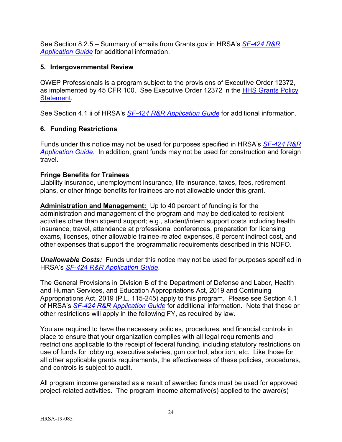See Section 8.2.5 – Summary of emails from Grants.gov in HRSA's *[SF-424](http://www.hrsa.gov/grants/apply/applicationguide/sf424rrguidev2.pdf) R&R [Application Guide](http://www.hrsa.gov/grants/apply/applicationguide/sf424rrguidev2.pdf)* for additional information.

### <span id="page-28-0"></span>**5. Intergovernmental Review**

OWEP Professionals is a program subject to the provisions of Executive Order 12372, as implemented by 45 CFR 100. See Executive Order 12372 in the [HHS Grants Policy](http://www.hrsa.gov/grants/hhsgrantspolicy.pdf)  [Statement.](http://www.hrsa.gov/grants/hhsgrantspolicy.pdf)

See Section 4.1 ii of HRSA's *SF-424 R&R [Application Guide](http://www.hrsa.gov/grants/apply/applicationguide/sf424rrguidev2.pdf)* for additional information.

## <span id="page-28-1"></span>**6. Funding Restrictions**

Funds under this notice may not be used for purposes specified in HRSA's *[SF-424 R&R](http://www.hrsa.gov/grants/apply/applicationguide/sf424rrguidev2.pdf)  [Application Guide](http://www.hrsa.gov/grants/apply/applicationguide/sf424rrguidev2.pdf)*. In addition, grant funds may not be used for construction and foreign travel.

### **Fringe Benefits for Trainees**

Liability insurance, unemployment insurance, life insurance, taxes, fees, retirement plans, or other fringe benefits for trainees are not allowable under this grant.

**Administration and Management:** Up to 40 percent of funding is for the administration and management of the program and may be dedicated to recipient activities other than stipend support; e.g., student/intern support costs including health insurance, travel, attendance at professional conferences, preparation for licensing exams, licenses, other allowable trainee-related expenses, 8 percent indirect cost, and other expenses that support the programmatic requirements described in this NOFO.

*Unallowable Costs:* Funds under this notice may not be used for purposes specified in HRSA's *SF-424 R&R [Application Guide](http://www.hrsa.gov/grants/apply/applicationguide/sf424rrguidev2.pdf)*.

The General Provisions in Division B of the Department of Defense and Labor, Health and Human Services, and Education Appropriations Act, 2019 and Continuing Appropriations Act, 2019 (P.L. 115-245) apply to this program. Please see Section 4.1 of HRSA's *SF-424 R&R [Application Guide](http://www.hrsa.gov/grants/apply/applicationguide/sf424rrguidev2.pdf)* for additional information. Note that these or other restrictions will apply in the following FY, as required by law.

You are required to have the necessary policies, procedures, and financial controls in place to ensure that your organization complies with all legal requirements and restrictions applicable to the receipt of federal funding, including statutory restrictions on use of funds for lobbying, executive salaries, gun control, abortion, etc. Like those for all other applicable grants requirements, the effectiveness of these policies, procedures, and controls is subject to audit.

All program income generated as a result of awarded funds must be used for approved project-related activities. The program income alternative(s) applied to the award(s)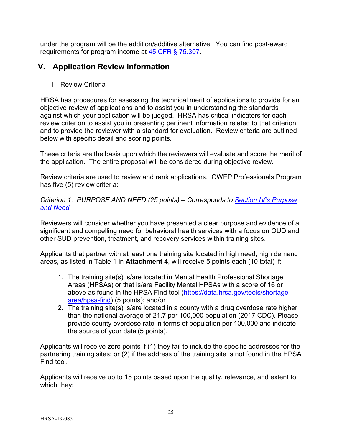under the program will be the addition/additive alternative. You can find post-award requirements for program income at [45 CFR § 75.307.](http://www.ecfr.gov/cgi-bin/retrieveECFR?gp=1&SID=4d52364ec83fab994c665943dadf9cf7&ty=HTML&h=L&r=PART&n=pt45.1.75#se45.1.75_1307)

# <span id="page-29-0"></span>**V. Application Review Information**

<span id="page-29-1"></span>1. Review Criteria

HRSA has procedures for assessing the technical merit of applications to provide for an objective review of applications and to assist you in understanding the standards against which your application will be judged. HRSA has critical indicators for each review criterion to assist you in presenting pertinent information related to that criterion and to provide the reviewer with a standard for evaluation. Review criteria are outlined below with specific detail and scoring points.

These criteria are the basis upon which the reviewers will evaluate and score the merit of the application. The entire proposal will be considered during objective review.

Review criteria are used to review and rank applications. OWEP Professionals Program has five (5) review criteria:

#### <span id="page-29-2"></span>*Criterion 1: PURPOSE AND NEED (25 points) – Corresponds to [Section IV's Purpose](#page-14-1)  [and Need](#page-14-1)*

Reviewers will consider whether you have presented a clear purpose and evidence of a significant and compelling need for behavioral health services with a focus on OUD and other SUD prevention, treatment, and recovery services within training sites.

Applicants that partner with at least one training site located in high need, high demand areas, as listed in Table 1 in **Attachment 4**, will receive 5 points each (10 total) if:

- 1. The training site(s) is/are located in Mental Health Professional Shortage Areas (HPSAs) or that is/are Facility Mental HPSAs with a score of 16 or above as found in the HPSA Find tool [\(https://data.hrsa.gov/tools/shortage](https://data.hrsa.gov/tools/shortage-area/hpsa-find)[area/hpsa-find\)](https://data.hrsa.gov/tools/shortage-area/hpsa-find) (5 points); and/or
- 2. The training site(s) is/are located in a county with a drug overdose rate higher than the national average of 21.7 per 100,000 population (2017 CDC). Please provide county overdose rate in terms of population per 100,000 and indicate the source of your data (5 points).

Applicants will receive zero points if (1) they fail to include the specific addresses for the partnering training sites; or (2) if the address of the training site is not found in the HPSA Find tool.

Applicants will receive up to 15 points based upon the quality, relevance, and extent to which they: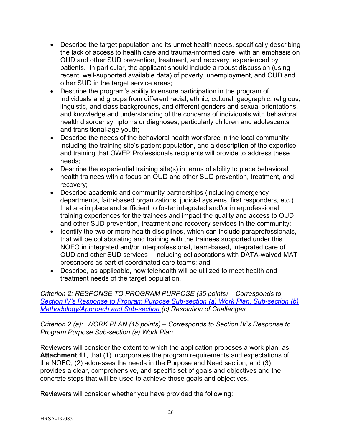- Describe the target population and its unmet health needs, specifically describing the lack of access to health care and trauma-informed care, with an emphasis on OUD and other SUD prevention, treatment, and recovery, experienced by patients. In particular, the applicant should include a robust discussion (using recent, well-supported available data) of poverty, unemployment, and OUD and other SUD in the target service areas;
- Describe the program's ability to ensure participation in the program of individuals and groups from different racial, ethnic, cultural, geographic, religious, linguistic, and class backgrounds, and different genders and sexual orientations, and knowledge and understanding of the concerns of individuals with behavioral health disorder symptoms or diagnoses, particularly children and adolescents and transitional-age youth;
- Describe the needs of the behavioral health workforce in the local community including the training site's patient population, and a description of the expertise and training that OWEP Professionals recipients will provide to address these needs;
- Describe the experiential training site(s) in terms of ability to place behavioral health trainees with a focus on OUD and other SUD prevention, treatment, and recovery;
- Describe academic and community partnerships (including emergency departments, faith-based organizations, judicial systems, first responders, etc.) that are in place and sufficient to foster integrated and/or interprofessional training experiences for the trainees and impact the quality and access to OUD and other SUD prevention, treatment and recovery services in the community;
- Identify the two or more health disciplines, which can include paraprofessionals, that will be collaborating and training with the trainees supported under this NOFO in integrated and/or interprofessional, team-based, integrated care of OUD and other SUD services – including collaborations with DATA-waived MAT prescribers as part of coordinated care teams; and
- Describe, as applicable, how telehealth will be utilized to meet health and treatment needs of the target population.

<span id="page-30-0"></span>*Criterion 2: RESPONSE TO PROGRAM PURPOSE (35 points) – Corresponds to [Section IV's Response to Program Purpose Sub-section \(a\) Work Plan, Sub-section \(b\)](#page-15-0)  [Methodology/Approach](#page-15-0) and Sub-section (c) Resolution of Challenges*

### *Criterion 2 (a): WORK PLAN (15 points) – Corresponds to Section IV's Response to Program Purpose Sub-section (a) Work Plan*

Reviewers will consider the extent to which the application proposes a work plan, as **Attachment 11**, that (1) incorporates the program requirements and expectations of the NOFO; (2) addresses the needs in the Purpose and Need section; and (3) provides a clear, comprehensive, and specific set of goals and objectives and the concrete steps that will be used to achieve those goals and objectives.

Reviewers will consider whether you have provided the following: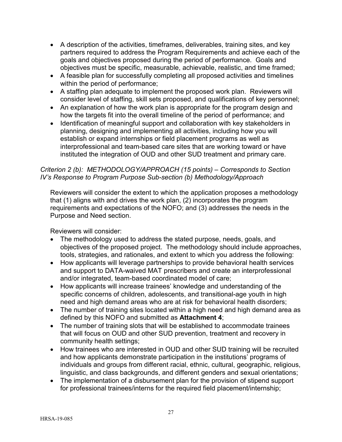- A description of the activities, timeframes, deliverables, training sites, and key partners required to address the Program Requirements and achieve each of the goals and objectives proposed during the period of performance. Goals and objectives must be specific, measurable, achievable, realistic, and time framed;
- A feasible plan for successfully completing all proposed activities and timelines within the period of performance;
- A staffing plan adequate to implement the proposed work plan. Reviewers will consider level of staffing, skill sets proposed, and qualifications of key personnel;
- An explanation of how the work plan is appropriate for the program design and how the targets fit into the overall timeline of the period of performance; and
- Identification of meaningful support and collaboration with key stakeholders in planning, designing and implementing all activities, including how you will establish or expand internships or field placement programs as well as interprofessional and team-based care sites that are working toward or have instituted the integration of OUD and other SUD treatment and primary care.

#### *Criterion 2 (b): METHODOLOGY/APPROACH (15 points) – Corresponds to Section IV's Response to Program Purpose Sub-section (b) Methodology/Approach*

Reviewers will consider the extent to which the application proposes a methodology that (1) aligns with and drives the work plan, (2) incorporates the program requirements and expectations of the NOFO; and (3) addresses the needs in the Purpose and Need section.

Reviewers will consider:

- The methodology used to address the stated purpose, needs, goals, and objectives of the proposed project. The methodology should include approaches, tools, strategies, and rationales, and extent to which you address the following:
- How applicants will leverage partnerships to provide behavioral health services and support to DATA-waived MAT prescribers and create an interprofessional and/or integrated, team-based coordinated model of care;
- How applicants will increase trainees' knowledge and understanding of the specific concerns of children, adolescents, and transitional-age youth in high need and high demand areas who are at risk for behavioral health disorders;
- The number of training sites located within a high need and high demand area as defined by this NOFO and submitted as **Attachment 4**;
- The number of training slots that will be established to accommodate trainees that will focus on OUD and other SUD prevention, treatment and recovery in community health settings;
- How trainees who are interested in OUD and other SUD training will be recruited and how applicants demonstrate participation in the institutions' programs of individuals and groups from different racial, ethnic, cultural, geographic, religious, linguistic, and class backgrounds, and different genders and sexual orientations;
- The implementation of a disbursement plan for the provision of stipend support for professional trainees/interns for the required field placement/internship;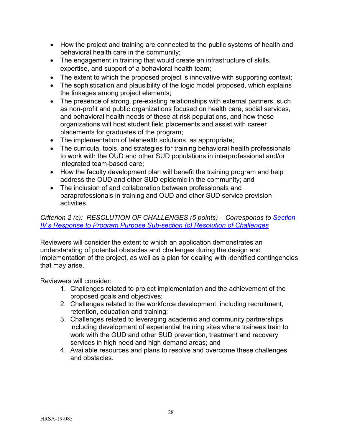- How the project and training are connected to the public systems of health and behavioral health care in the community;
- The engagement in training that would create an infrastructure of skills, expertise, and support of a behavioral health team;
- The extent to which the proposed project is innovative with supporting context;
- The sophistication and plausibility of the logic model proposed, which explains the linkages among project elements;
- The presence of strong, pre-existing relationships with external partners, such as non-profit and public organizations focused on health care, social services, and behavioral health needs of these at-risk populations, and how these organizations will host student field placements and assist with career placements for graduates of the program;
- The implementation of telehealth solutions, as appropriate;
- The curricula, tools, and strategies for training behavioral health professionals to work with the OUD and other SUD populations in interprofessional and/or integrated team-based care;
- How the faculty development plan will benefit the training program and help address the OUD and other SUD epidemic in the community; and
- The inclusion of and collaboration between professionals and paraprofessionals in training and OUD and other SUD service provision activities.

## <span id="page-32-0"></span>*Criterion 2 (c): RESOLUTION OF CHALLENGES (5 points) – Corresponds to Section IV's Response to Program Purpose Sub-section (c) Resolution of Challenges*

Reviewers will consider the extent to which an application demonstrates an understanding of potential obstacles and challenges during the design and implementation of the project, as well as a plan for dealing with identified contingencies that may arise.

Reviewers will consider:

- 1. Challenges related to project implementation and the achievement of the proposed goals and objectives;
- 2. Challenges related to the workforce development, including recruitment, retention, education and training;
- 3. Challenges related to leveraging academic and community partnerships including development of experiential training sites where trainees train to work with the OUD and other SUD prevention, treatment and recovery services in high need and high demand areas; and
- 4. Available resources and plans to resolve and overcome these challenges and obstacles.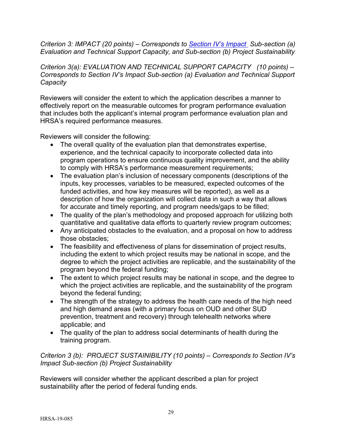*Criterion 3: IMPACT (20 points) – Corresponds to [Section IV's Impact](#page-18-0) Sub-section (a) Evaluation and Technical Support Capacity, and Sub-section (b) Project Sustainability*

*Criterion 3(a): EVALUATION AND TECHNICAL SUPPORT CAPACITY (10 points) – Corresponds to Section IV's Impact Sub-section (a) Evaluation and Technical Support Capacity* 

Reviewers will consider the extent to which the application describes a manner to effectively report on the measurable outcomes for program performance evaluation that includes both the applicant's internal program performance evaluation plan and HRSA's required performance measures.

Reviewers will consider the following:

- The overall quality of the evaluation plan that demonstrates expertise, experience, and the technical capacity to incorporate collected data into program operations to ensure continuous quality improvement, and the ability to comply with HRSA's performance measurement requirements;
- The evaluation plan's inclusion of necessary components (descriptions of the inputs, key processes, variables to be measured, expected outcomes of the funded activities, and how key measures will be reported), as well as a description of how the organization will collect data in such a way that allows for accurate and timely reporting, and program needs/gaps to be filled;
- The quality of the plan's methodology and proposed approach for utilizing both quantitative and qualitative data efforts to quarterly review program outcomes;
- Any anticipated obstacles to the evaluation, and a proposal on how to address those obstacles;
- The feasibility and effectiveness of plans for dissemination of project results, including the extent to which project results may be national in scope, and the degree to which the project activities are replicable, and the sustainability of the program beyond the federal funding;
- The extent to which project results may be national in scope, and the degree to which the project activities are replicable, and the sustainability of the program beyond the federal funding;
- The strength of the strategy to address the health care needs of the high need and high demand areas (with a primary focus on OUD and other SUD prevention, treatment and recovery) through telehealth networks where applicable; and
- The quality of the plan to address social determinants of health during the training program.

*Criterion 3 (b): PROJECT SUSTAINIBILITY (10 points) – Corresponds to Section IV's Impact Sub-section (b) Project Sustainability* 

Reviewers will consider whether the applicant described a plan for project sustainability after the period of federal funding ends.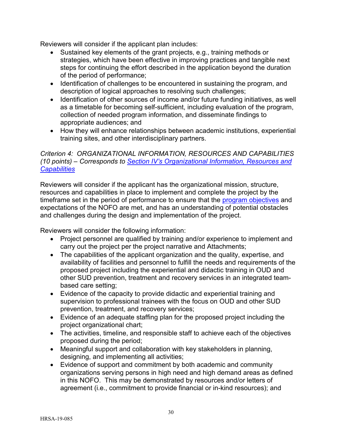Reviewers will consider if the applicant plan includes:

- Sustained key elements of the grant projects, e.g., training methods or strategies, which have been effective in improving practices and tangible next steps for continuing the effort described in the application beyond the duration of the period of performance;
- Identification of challenges to be encountered in sustaining the program, and description of logical approaches to resolving such challenges;
- Identification of other sources of income and/or future funding initiatives, as well as a timetable for becoming self-sufficient, including evaluation of the program, collection of needed program information, and disseminate findings to appropriate audiences; and
- How they will enhance relationships between academic institutions, experiential training sites, and other interdisciplinary partners.

### <span id="page-34-0"></span>*Criterion 4: ORGANIZATIONAL INFORMATION, RESOURCES AND CAPABILITIES (10 points) – Corresponds to [Section IV's Organizational Information, Resources and](#page-20-0)  [Capabilities](#page-20-0)*

Reviewers will consider if the applicant has the organizational mission, structure, resources and capabilities in place to implement and complete the project by the timeframe set in the period of performance to ensure that the program objectives and expectations of the NOFO are met, and has an understanding of potential obstacles and challenges during the design and implementation of the project.

Reviewers will consider the following information:

- Project personnel are qualified by training and/or experience to implement and carry out the project per the project narrative and Attachments;
- The capabilities of the applicant organization and the quality, expertise, and availability of facilities and personnel to fulfill the needs and requirements of the proposed project including the experiential and didactic training in OUD and other SUD prevention, treatment and recovery services in an integrated teambased care setting;
- Evidence of the capacity to provide didactic and experiential training and supervision to professional trainees with the focus on OUD and other SUD prevention, treatment, and recovery services;
- Evidence of an adequate staffing plan for the proposed project including the project organizational chart;
- The activities, timeline, and responsible staff to achieve each of the objectives proposed during the period;
- Meaningful support and collaboration with key stakeholders in planning, designing, and implementing all activities;
- Evidence of support and commitment by both academic and community organizations serving persons in high need and high demand areas as defined in this NOFO. This may be demonstrated by resources and/or letters of agreement (i.e., commitment to provide financial or in-kind resources); and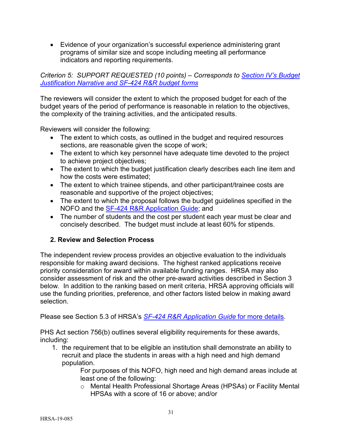• Evidence of your organization's successful experience administering grant programs of similar size and scope including meeting all performance indicators and reporting requirements.

### *Criterion 5: SUPPORT REQUESTED (10 points) – Corresponds to [Section IV's Budget](#page-22-0)  [Justification Narrative and SF-424 R&R budget forms](#page-22-0)*

The reviewers will consider the extent to which the proposed budget for each of the budget years of the period of performance is reasonable in relation to the objectives, the complexity of the training activities, and the anticipated results.

Reviewers will consider the following:

- The extent to which costs, as outlined in the budget and required resources sections, are reasonable given the scope of work;
- The extent to which key personnel have adequate time devoted to the project to achieve project objectives;
- The extent to which the budget justification clearly describes each line item and how the costs were estimated;
- The extent to which trainee stipends, and other participant/trainee costs are reasonable and supportive of the project objectives;
- The extent to which the proposal follows the budget guidelines specified in the NOFO and the [SF-424 R&R Application Guide;](http://www.hrsa.gov/grants/apply/applicationguide/sf424rrguidev2.pdf) and
- The number of students and the cost per student each year must be clear and concisely described. The budget must include at least 60% for stipends.

# <span id="page-35-1"></span><span id="page-35-0"></span>**2. Review and Selection Process**

The independent review process provides an objective evaluation to the individuals responsible for making award decisions. The highest ranked applications receive priority consideration for award within available funding ranges. HRSA may also consider assessment of risk and the other pre-award activities described in Section 3 below. In addition to the ranking based on merit criteria, HRSA approving officials will use the funding priorities, preference, and other factors listed below in making award selection.

Please see Section 5.3 of HRSA's *SF-424 [R&R Application Guide](http://www.hrsa.gov/grants/apply/applicationguide/sf424rrguidev2.pdf)* for more details.

PHS Act section 756(b) outlines several eligibility requirements for these awards, including:

1. the requirement that to be eligible an institution shall demonstrate an ability to recruit and place the students in areas with a high need and high demand population.

> For purposes of this NOFO, high need and high demand areas include at least one of the following:

o Mental Health Professional Shortage Areas (HPSAs) or Facility Mental HPSAs with a score of 16 or above; and/or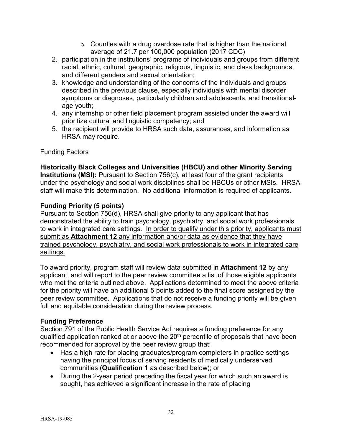- $\circ$  Counties with a drug overdose rate that is higher than the national average of 21.7 per 100,000 population (2017 CDC)
- 2. participation in the institutions' programs of individuals and groups from different racial, ethnic, cultural, geographic, religious, linguistic, and class backgrounds, and different genders and sexual orientation;
- 3. knowledge and understanding of the concerns of the individuals and groups described in the previous clause, especially individuals with mental disorder symptoms or diagnoses, particularly children and adolescents, and transitionalage youth;
- 4. any internship or other field placement program assisted under the award will prioritize cultural and linguistic competency; and
- 5. the recipient will provide to HRSA such data, assurances, and information as HRSA may require.

## Funding Factors

#### **Historically Black Colleges and Universities (HBCU) and other Minority Serving Institutions (MSI):** Pursuant to Section 756(c), at least four of the grant recipients under the psychology and social work disciplines shall be HBCUs or other MSIs. HRSA staff will make this determination. No additional information is required of applicants.

## **Funding Priority (5 points)**

Pursuant to Section 756(d), HRSA shall give priority to any applicant that has demonstrated the ability to train psychology, psychiatry, and social work professionals to work in integrated care settings. In order to qualify under this priority, applicants must submit as **Attachment 12** any information and/or data as evidence that they have trained psychology, psychiatry, and social work professionals to work in integrated care settings.

To award priority, program staff will review data submitted in **Attachment 12** by any applicant, and will report to the peer review committee a list of those eligible applicants who met the criteria outlined above. Applications determined to meet the above criteria for the priority will have an additional 5 points added to the final score assigned by the peer review committee. Applications that do not receive a funding priority will be given full and equitable consideration during the review process.

## **Funding Preference**

Section 791 of the Public Health Service Act requires a funding preference for any qualified application ranked at or above the 20<sup>th</sup> percentile of proposals that have been recommended for approval by the peer review group that:

- Has a high rate for placing graduates/program completers in practice settings having the principal focus of serving residents of medically underserved communities (**Qualification 1** as described below); or
- During the 2-year period preceding the fiscal year for which such an award is sought, has achieved a significant increase in the rate of placing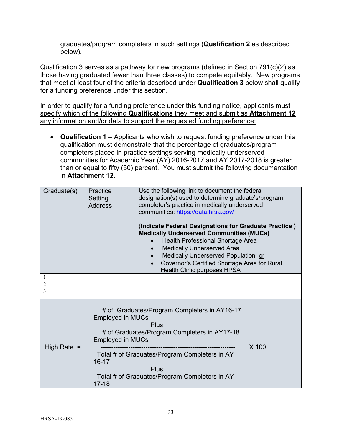graduates/program completers in such settings (**Qualification 2** as described below).

Qualification 3 serves as a pathway for new programs (defined in Section 791(c)(2) as those having graduated fewer than three classes) to compete equitably. New programs that meet at least four of the criteria described under **Qualification 3** below shall qualify for a funding preference under this section.

In order to qualify for a funding preference under this funding notice, applicants must specify which of the following **Qualifications** they meet and submit as **Attachment 12** any information and/or data to support the requested funding preference:

• **Qualification 1** – Applicants who wish to request funding preference under this qualification must demonstrate that the percentage of graduates/program completers placed in practice settings serving medically underserved communities for Academic Year (AY) 2016-2017 and AY 2017-2018 is greater than or equal to fifty (50) percent. You must submit the following documentation in **Attachment 12**.

| Graduate(s)    | Practice<br>Setting<br><b>Address</b>                                                                                                                                                                       | Use the following link to document the federal<br>designation(s) used to determine graduate's/program<br>completer's practice in medically underserved<br>communities: https://data.hrsa.gov/<br>(Indicate Federal Designations for Graduate Practice)<br><b>Medically Underserved Communities (MUCs)</b><br>Health Professional Shortage Area<br><b>Medically Underserved Area</b><br>Medically Underserved Population or<br>Governor's Certified Shortage Area for Rural<br>$\bullet$<br><b>Health Clinic purposes HPSA</b> |       |
|----------------|-------------------------------------------------------------------------------------------------------------------------------------------------------------------------------------------------------------|-------------------------------------------------------------------------------------------------------------------------------------------------------------------------------------------------------------------------------------------------------------------------------------------------------------------------------------------------------------------------------------------------------------------------------------------------------------------------------------------------------------------------------|-------|
| 1              |                                                                                                                                                                                                             |                                                                                                                                                                                                                                                                                                                                                                                                                                                                                                                               |       |
| $\overline{2}$ |                                                                                                                                                                                                             |                                                                                                                                                                                                                                                                                                                                                                                                                                                                                                                               |       |
| 3              |                                                                                                                                                                                                             |                                                                                                                                                                                                                                                                                                                                                                                                                                                                                                                               |       |
| High Rate $=$  | # of Graduates/Program Completers in AY16-17<br><b>Employed in MUCs</b><br>Plus<br># of Graduates/Program Completers in AY17-18<br><b>Employed in MUCs</b><br>Total # of Graduates/Program Completers in AY |                                                                                                                                                                                                                                                                                                                                                                                                                                                                                                                               | X 100 |
|                | 16-17                                                                                                                                                                                                       | Plus                                                                                                                                                                                                                                                                                                                                                                                                                                                                                                                          |       |
|                | $17 - 18$                                                                                                                                                                                                   | Total # of Graduates/Program Completers in AY                                                                                                                                                                                                                                                                                                                                                                                                                                                                                 |       |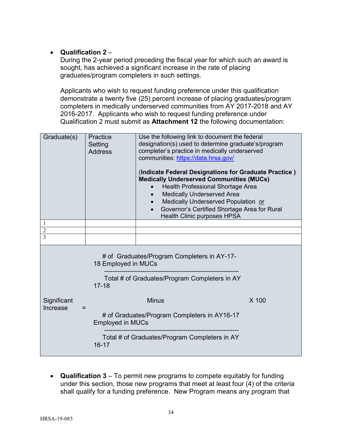## • **Qualification 2** –

During the 2-year period preceding the fiscal year for which such an award is sought, has achieved a significant increase in the rate of placing graduates/program completers in such settings.

Applicants who wish to request funding preference under this qualification demonstrate a twenty five (25) percent increase of placing graduates/program completers in medically underserved communities from AY 2017-2018 and AY 2016-2017. Applicants who wish to request funding preference under Qualification 2 must submit as **Attachment 12** the following documentation:

| Graduate(s)                                                                                                                      | Practice<br>Setting<br><b>Address</b>                                   | Use the following link to document the federal<br>designation(s) used to determine graduate's/program<br>completer's practice in medically underserved<br>communities: https://data.hrsa.gov/<br>(Indicate Federal Designations for Graduate Practice)<br><b>Medically Underserved Communities (MUCs)</b><br>Health Professional Shortage Area<br><b>Medically Underserved Area</b><br>Medically Underserved Population or<br>Governor's Certified Shortage Area for Rural<br>$\bullet$<br><b>Health Clinic purposes HPSA</b> |       |  |
|----------------------------------------------------------------------------------------------------------------------------------|-------------------------------------------------------------------------|-------------------------------------------------------------------------------------------------------------------------------------------------------------------------------------------------------------------------------------------------------------------------------------------------------------------------------------------------------------------------------------------------------------------------------------------------------------------------------------------------------------------------------|-------|--|
| 1                                                                                                                                |                                                                         |                                                                                                                                                                                                                                                                                                                                                                                                                                                                                                                               |       |  |
| $\overline{2}$                                                                                                                   |                                                                         |                                                                                                                                                                                                                                                                                                                                                                                                                                                                                                                               |       |  |
| 3                                                                                                                                |                                                                         |                                                                                                                                                                                                                                                                                                                                                                                                                                                                                                                               |       |  |
| # of Graduates/Program Completers in AY-17-<br>18 Employed in MUCs<br>Total # of Graduates/Program Completers in AY<br>$17 - 18$ |                                                                         |                                                                                                                                                                                                                                                                                                                                                                                                                                                                                                                               |       |  |
| Significant<br>Increase<br>$=$                                                                                                   |                                                                         | <b>Minus</b>                                                                                                                                                                                                                                                                                                                                                                                                                                                                                                                  | X 100 |  |
|                                                                                                                                  | # of Graduates/Program Completers in AY16-17<br><b>Employed in MUCs</b> |                                                                                                                                                                                                                                                                                                                                                                                                                                                                                                                               |       |  |
|                                                                                                                                  | $16 - 17$                                                               | Total # of Graduates/Program Completers in AY                                                                                                                                                                                                                                                                                                                                                                                                                                                                                 |       |  |

• **Qualification 3** – To permit new programs to compete equitably for funding under this section, those new programs that meet at least four (4) of the criteria shall qualify for a funding preference. New Program means any program that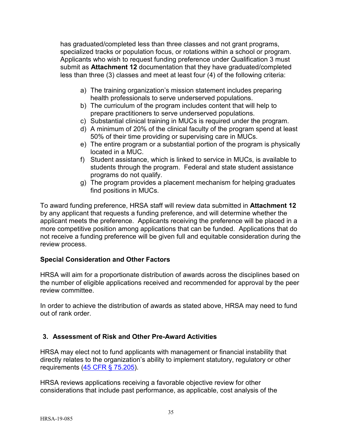has graduated/completed less than three classes and not grant programs, specialized tracks or population focus, or rotations within a school or program. Applicants who wish to request funding preference under Qualification 3 must submit as **Attachment 12** documentation that they have graduated/completed less than three (3) classes and meet at least four (4) of the following criteria:

- a) The training organization's mission statement includes preparing health professionals to serve underserved populations.
- b) The curriculum of the program includes content that will help to prepare practitioners to serve underserved populations.
- c) Substantial clinical training in MUCs is required under the program.
- d) A minimum of 20% of the clinical faculty of the program spend at least 50% of their time providing or supervising care in MUCs.
- e) The entire program or a substantial portion of the program is physically located in a MUC.
- f) Student assistance, which is linked to service in MUCs, is available to students through the program. Federal and state student assistance programs do not qualify.
- g) The program provides a placement mechanism for helping graduates find positions in MUCs.

To award funding preference, HRSA staff will review data submitted in **Attachment 12**  by any applicant that requests a funding preference, and will determine whether the applicant meets the preference. Applicants receiving the preference will be placed in a more competitive position among applications that can be funded. Applications that do not receive a funding preference will be given full and equitable consideration during the review process.

## **Special Consideration and Other Factors**

HRSA will aim for a proportionate distribution of awards across the disciplines based on the number of eligible applications received and recommended for approval by the peer review committee.

In order to achieve the distribution of awards as stated above, HRSA may need to fund out of rank order.

# <span id="page-39-0"></span>**3. Assessment of Risk and Other Pre-Award Activities**

HRSA may elect not to fund applicants with management or financial instability that directly relates to the organization's ability to implement statutory, regulatory or other requirements [\(45 CFR § 75.205\)](http://www.ecfr.gov/cgi-bin/retrieveECFR?gp=1&SID=4d52364ec83fab994c665943dadf9cf7&ty=HTML&h=L&r=PART&n=pt45.1.75#se45.1.75_1205).

HRSA reviews applications receiving a favorable objective review for other considerations that include past performance, as applicable, cost analysis of the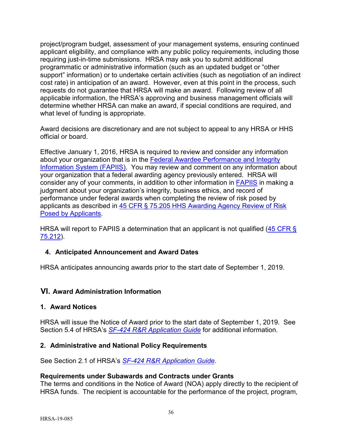project/program budget, assessment of your management systems, ensuring continued applicant eligibility, and compliance with any public policy requirements, including those requiring just-in-time submissions. HRSA may ask you to submit additional programmatic or administrative information (such as an updated budget or "other support" information) or to undertake certain activities (such as negotiation of an indirect cost rate) in anticipation of an award. However, even at this point in the process, such requests do not guarantee that HRSA will make an award. Following review of all applicable information, the HRSA's approving and business management officials will determine whether HRSA can make an award, if special conditions are required, and what level of funding is appropriate.

Award decisions are discretionary and are not subject to appeal to any HRSA or HHS official or board.

Effective January 1, 2016, HRSA is required to review and consider any information about your organization that is in the [Federal Awardee Performance and Integrity](https://www.fapiis.gov/)  [Information System \(FAPIIS\).](https://www.fapiis.gov/) You may review and comment on any information about your organization that a federal awarding agency previously entered. HRSA will consider any of your comments, in addition to other information in **FAPIIS** in making a judgment about your organization's integrity, business ethics, and record of performance under federal awards when completing the review of risk posed by applicants as described in [45 CFR § 75.205 HHS Awarding Agency Review of Risk](http://www.ecfr.gov/cgi-bin/text-idx?node=pt45.1.75)  [Posed by Applicants.](http://www.ecfr.gov/cgi-bin/text-idx?node=pt45.1.75)

HRSA will report to FAPIIS a determination that an applicant is not qualified (45 CFR § [75.212\)](http://www.ecfr.gov/cgi-bin/text-idx?node=pt45.1.75).

## <span id="page-40-0"></span>**4. Anticipated Announcement and Award Dates**

HRSA anticipates announcing awards prior to the start date of September 1, 2019.

## <span id="page-40-1"></span>**VI. Award Administration Information**

#### <span id="page-40-2"></span>**1. Award Notices**

HRSA will issue the Notice of Award prior to the start date of September 1, 2019. See Section 5.4 of HRSA's *SF-424 [R&R Application Guide](http://www.hrsa.gov/grants/apply/applicationguide/sf424rrguidev2.pdf)* for additional information.

#### <span id="page-40-3"></span>**2. Administrative and National Policy Requirements**

See Section 2.1 of HRSA's *SF-424 [R&R Application Guide](http://www.hrsa.gov/grants/apply/applicationguide/sf424rrguidev2.pdf)*.

#### **Requirements under Subawards and Contracts under Grants**

The terms and conditions in the Notice of Award (NOA) apply directly to the recipient of HRSA funds. The recipient is accountable for the performance of the project, program,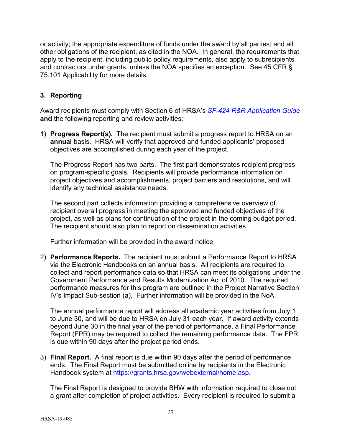or activity; the appropriate expenditure of funds under the award by all parties; and all other obligations of the recipient, as cited in the NOA. In general, the requirements that apply to the recipient, including public policy requirements, also apply to subrecipients and contractors under grants, unless the NOA specifies an exception. See 45 CFR § 75.101 Applicability for more details.

### <span id="page-41-0"></span>**3. Reporting**

Award recipients must comply with Section 6 of HRSA's *SF-424 [R&R Application Guide](http://www.hrsa.gov/grants/apply/applicationguide/sf424rrguidev2.pdf)* **and** the following reporting and review activities:

1) **Progress Report(s).** The recipient must submit a progress report to HRSA on an **annual** basis. HRSA will verify that approved and funded applicants' proposed objectives are accomplished during each year of the project.

The Progress Report has two parts. The first part demonstrates recipient progress on program-specific goals. Recipients will provide performance information on project objectives and accomplishments, project barriers and resolutions, and will identify any technical assistance needs.

The second part collects information providing a comprehensive overview of recipient overall progress in meeting the approved and funded objectives of the project, as well as plans for continuation of the project in the coming budget period. The recipient should also plan to report on dissemination activities.

Further information will be provided in the award notice.

2) **Performance Reports.** The recipient must submit a Performance Report to HRSA via the Electronic Handbooks on an annual basis. All recipients are required to collect and report performance data so that HRSA can meet its obligations under the Government Performance and Results Modernization Act of 2010. The required performance measures for this program are outlined in the Project Narrative Section IV's Impact Sub-section (a). Further information will be provided in the NoA.

The annual performance report will address all academic year activities from July 1 to June 30, and will be due to HRSA on July 31 each year. If award activity extends beyond June 30 in the final year of the period of performance, a Final Performance Report (FPR) may be required to collect the remaining performance data. The FPR is due within 90 days after the project period ends.

3) **Final Report.** A final report is due within 90 days after the period of performance ends. The Final Report must be submitted online by recipients in the Electronic Handbook system at [https://grants.hrsa.gov/webexternal/home.asp.](https://grants.hrsa.gov/webexternal/home.asp)

The Final Report is designed to provide BHW with information required to close out a grant after completion of project activities. Every recipient is required to submit a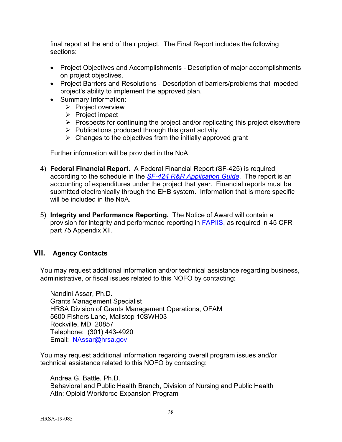final report at the end of their project. The Final Report includes the following sections:

- Project Objectives and Accomplishments Description of major accomplishments on project objectives.
- Project Barriers and Resolutions Description of barriers/problems that impeded project's ability to implement the approved plan.
- Summary Information:
	- $\triangleright$  Project overview
	- $\triangleright$  Project impact
	- $\triangleright$  Prospects for continuing the project and/or replicating this project elsewhere
	- $\triangleright$  Publications produced through this grant activity
	- $\triangleright$  Changes to the objectives from the initially approved grant

Further information will be provided in the NoA.

- 4) **Federal Financial Report.** A Federal Financial Report (SF-425) is required according to the schedule in the *SF-424 [R&R Application Guide](http://www.hrsa.gov/grants/apply/applicationguide/sf424rrguidev2.pdf)*. The report is an accounting of expenditures under the project that year. Financial reports must be submitted electronically through the EHB system. Information that is more specific will be included in the NoA.
- 5) **Integrity and Performance Reporting.** The Notice of Award will contain a provision for integrity and performance reporting in [FAPIIS,](https://www.fapiis.gov/) as required in 45 CFR part 75 Appendix XII.

# <span id="page-42-0"></span>**VII. Agency Contacts**

You may request additional information and/or technical assistance regarding business, administrative, or fiscal issues related to this NOFO by contacting:

Nandini Assar, Ph.D. Grants Management Specialist HRSA Division of Grants Management Operations, OFAM 5600 Fishers Lane, Mailstop 10SWH03 Rockville, MD 20857 Telephone: (301) 443-4920 Email: [NAssar@hrsa.gov](mailto:NAssar@hrsa.gov)

You may request additional information regarding overall program issues and/or technical assistance related to this NOFO by contacting:

Andrea G. Battle, Ph.D. Behavioral and Public Health Branch, Division of Nursing and Public Health Attn: Opioid Workforce Expansion Program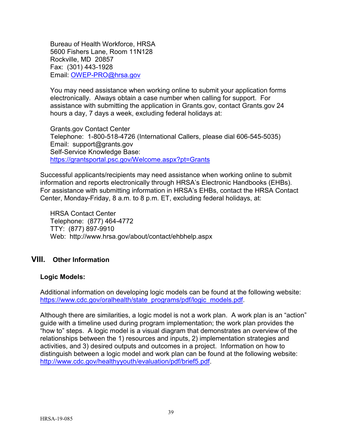Bureau of Health Workforce, HRSA 5600 Fishers Lane, Room 11N128 Rockville, MD 20857 Fax: (301) 443-1928 Email: [OWEP-PRO@hrsa.gov](mailto:ABattle@hrsa.gov)

You may need assistance when working online to submit your application forms electronically. Always obtain a case number when calling for support. For assistance with submitting the application in Grants.gov, contact Grants.gov 24 hours a day, 7 days a week, excluding federal holidays at:

Grants.gov Contact Center Telephone: 1-800-518-4726 (International Callers, please dial 606-545-5035) Email: [support@grants.gov](mailto:support@grants.gov) Self-Service Knowledge Base: <https://grantsportal.psc.gov/Welcome.aspx?pt=Grants>

Successful applicants/recipients may need assistance when working online to submit information and reports electronically through HRSA's Electronic Handbooks (EHBs). For assistance with submitting information in HRSA's EHBs, contact the HRSA Contact Center, Monday-Friday, 8 a.m. to 8 p.m. ET, excluding federal holidays, at:

HRSA Contact Center Telephone: (877) 464-4772 TTY: (877) 897-9910 Web: <http://www.hrsa.gov/about/contact/ehbhelp.aspx>

## <span id="page-43-0"></span>**VIII. Other Information**

#### **Logic Models:**

Additional information on developing logic models can be found at the following website: [https://www.cdc.gov/oralhealth/state\\_programs/pdf/logic\\_models.pdf.](https://www.cdc.gov/oralhealth/state_programs/pdf/logic_models.pdf)

Although there are similarities, a logic model is not a work plan. A work plan is an "action" guide with a timeline used during program implementation; the work plan provides the "how to" steps. A logic model is a visual diagram that demonstrates an overview of the relationships between the 1) resources and inputs, 2) implementation strategies and activities, and 3) desired outputs and outcomes in a project. Information on how to distinguish between a logic model and work plan can be found at the following website: [http://www.cdc.gov/healthyyouth/evaluation/pdf/brief5.pdf.](http://www.cdc.gov/healthyyouth/evaluation/pdf/brief5.pdf)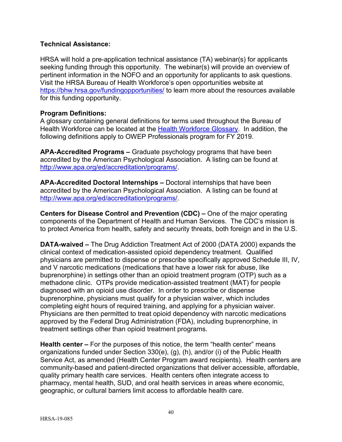### **Technical Assistance:**

HRSA will hold a pre-application technical assistance (TA) webinar(s) for applicants seeking funding through this opportunity. The webinar(s) will provide an overview of pertinent information in the NOFO and an opportunity for applicants to ask questions. Visit the HRSA Bureau of Health Workforce's open opportunities website at <https://bhw.hrsa.gov/fundingopportunities/> to learn more about the resources available for this funding opportunity.

### <span id="page-44-0"></span>**Program Definitions:**

A glossary containing general definitions for terms used throughout the Bureau of Health Workforce can be located at the [Health Workforce Glossary.](https://bhw.hrsa.gov/grants/resourcecenter/glossary) In addition, the following definitions apply to OWEP Professionals program for FY 2019.

**APA-Accredited Programs –** Graduate psychology programs that have been accredited by the American Psychological Association. A listing can be found at [http://www.apa.org/ed/accreditation/programs/.](http://www.apa.org/ed/accreditation/programs/)

**APA-Accredited Doctoral Internships –** Doctoral internships that have been accredited by the American Psychological Association. A listing can be found at [http://www.apa.org/ed/accreditation/programs/.](http://www.apa.org/ed/accreditation/programs/)

**Centers for Disease Control and Prevention (CDC) –** One of the major operating components of the Department of Health and Human Services. The CDC's mission is to protect America from health, safety and security threats, both foreign and in the U.S.

**DATA-waived –** The Drug Addiction Treatment Act of 2000 (DATA 2000) expands the clinical context of medication-assisted opioid dependency treatment. Qualified physicians are permitted to dispense or prescribe specifically approved Schedule III, IV, and V narcotic medications (medications that have a lower risk for abuse, like buprenorphine) in settings other than an opioid treatment program (OTP) such as a methadone clinic. OTPs provide medication-assisted treatment (MAT) for people diagnosed with an opioid use disorder. In order to prescribe or dispense buprenorphine, physicians must qualify for a physician waiver, which includes completing eight hours of required training, and applying for a physician waiver. Physicians are then permitted to treat opioid dependency with narcotic medications approved by the Federal Drug Administration (FDA), including buprenorphine, in treatment settings other than opioid treatment programs.

**Health center –** For the purposes of this notice, the term "health center" means organizations funded under Section 330(e), (g), (h), and/or (i) of the Public Health Service Act, as amended (Health Center Program award recipients). Health centers are community-based and [patient-directed](http://www.bphc.hrsa.gov/programrequirements/summary.html#GOVERNANCE2) organizations that deliver accessible, affordable, quality primary health care services. Health centers often integrate access to pharmacy, mental health, SUD, and oral health services in areas where economic, geographic, or cultural barriers limit access to affordable health care.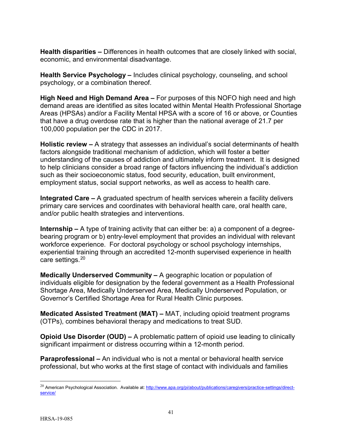**Health disparities –** Differences in health outcomes that are closely linked with social, economic, and environmental disadvantage.

**Health Service Psychology –** Includes clinical psychology, counseling, and school psychology, or a combination thereof.

**High Need and High Demand Area –** For purposes of this NOFO high need and high demand areas are identified as sites located within Mental Health Professional Shortage Areas (HPSAs) and/or a Facility Mental HPSA with a score of 16 or above, or Counties that have a drug overdose rate that is higher than the national average of 21.7 per 100,000 population per the CDC in 2017.

**Holistic review –** A strategy that assesses an individual's social determinants of health factors alongside traditional mechanism of addiction, which will foster a better understanding of the causes of addiction and ultimately inform treatment. It is designed to help clinicians consider a broad range of factors influencing the individual's addiction such as their socioeconomic status, food security, education, built environment, employment status, social support networks, as well as access to health care.

**Integrated Care –** A graduated spectrum of health services wherein a facility delivers primary care services and coordinates with behavioral health care, oral health care, and/or public health strategies and interventions.

**Internship –** A type of training activity that can either be: a) a component of a degreebearing program or b) entry-level employment that provides an individual with relevant workforce experience. For doctoral psychology or school psychology internships, experiential training through an accredited 12-month supervised experience in health care settings. [20](#page-45-0)

**Medically Underserved Community –** A geographic location or population of individuals eligible for designation by the federal government as a Health Professional Shortage Area, Medically Underserved Area, Medically Underserved Population, or Governor's Certified Shortage Area for Rural Health Clinic purposes.

**Medicated Assisted Treatment (MAT) –** MAT, including opioid treatment programs (OTPs), combines behavioral therapy and medications to treat SUD.

**Opioid Use Disorder (OUD) –** A problematic pattern of opioid use leading to clinically significant impairment or distress occurring within a 12-month period.

**Paraprofessional –** An individual who is not a mental or behavioral health service professional, but who works at the first stage of contact with individuals and families

<span id="page-45-0"></span><sup>&</sup>lt;sup>20</sup> American Psychological Association. Available at: http://www.apa.org/pi/about/publications/caregivers/practice-settings/directservice/